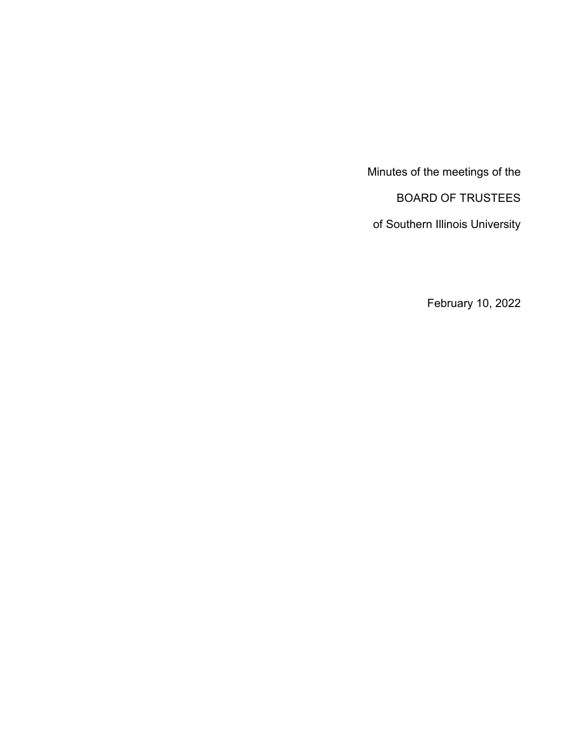Minutes of the meetings of the BOARD OF TRUSTEES

of Southern Illinois University

February 10, 2022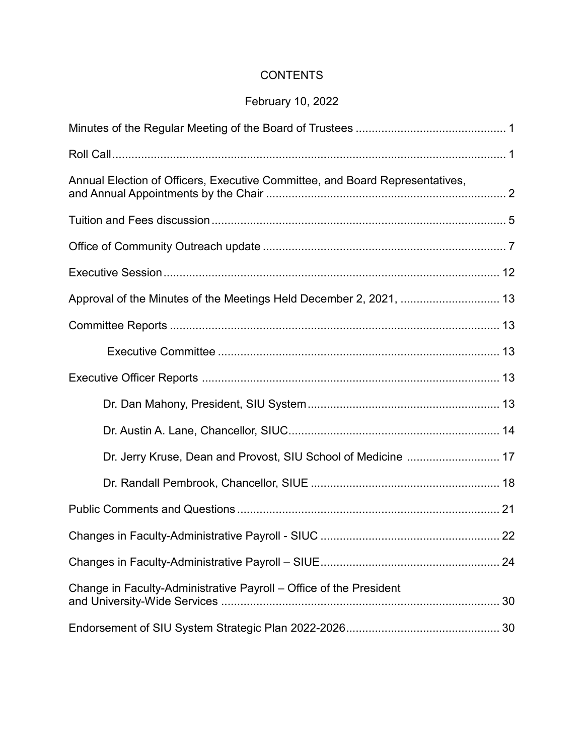# **CONTENTS**

# February 10, 2022

| Annual Election of Officers, Executive Committee, and Board Representatives, |  |
|------------------------------------------------------------------------------|--|
|                                                                              |  |
|                                                                              |  |
|                                                                              |  |
| Approval of the Minutes of the Meetings Held December 2, 2021,  13           |  |
|                                                                              |  |
|                                                                              |  |
|                                                                              |  |
|                                                                              |  |
|                                                                              |  |
|                                                                              |  |
|                                                                              |  |
|                                                                              |  |
|                                                                              |  |
|                                                                              |  |
| Change in Faculty-Administrative Payroll - Office of the President           |  |
|                                                                              |  |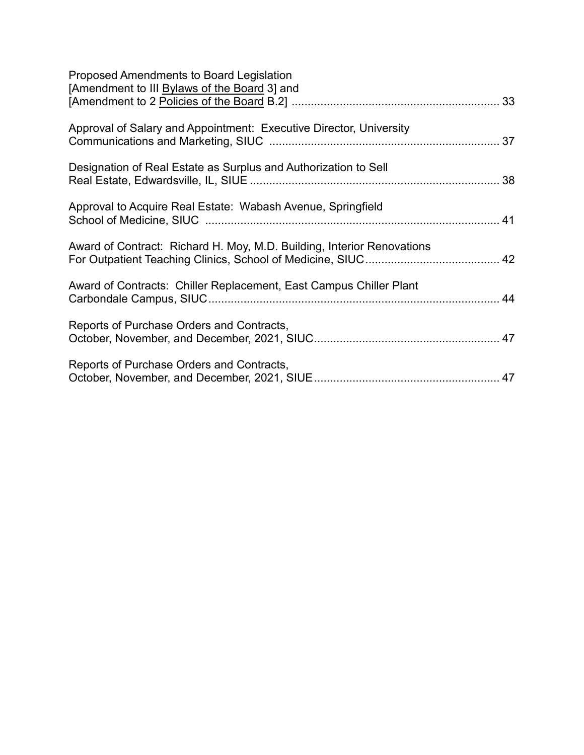| Proposed Amendments to Board Legislation<br>[Amendment to III Bylaws of the Board 3] and |  |
|------------------------------------------------------------------------------------------|--|
| Approval of Salary and Appointment: Executive Director, University                       |  |
| Designation of Real Estate as Surplus and Authorization to Sell                          |  |
| Approval to Acquire Real Estate: Wabash Avenue, Springfield                              |  |
| Award of Contract: Richard H. Moy, M.D. Building, Interior Renovations                   |  |
| Award of Contracts: Chiller Replacement, East Campus Chiller Plant                       |  |
| Reports of Purchase Orders and Contracts,                                                |  |
| Reports of Purchase Orders and Contracts,                                                |  |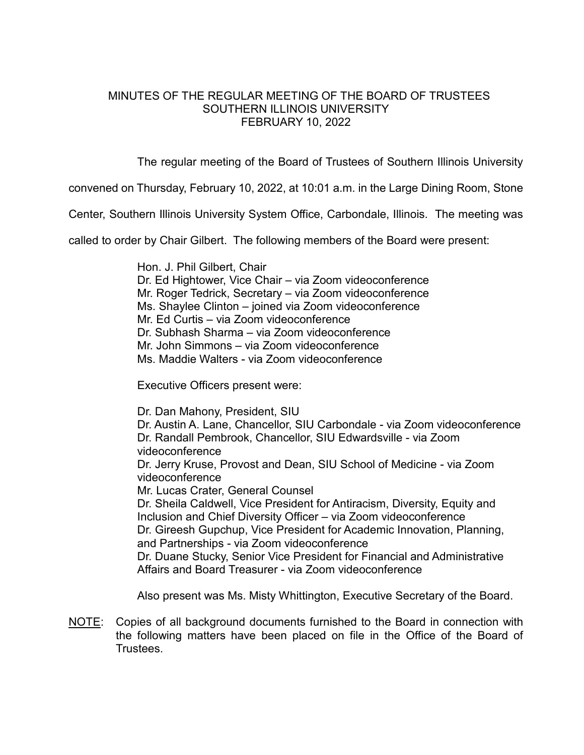#### MINUTES OF THE REGULAR MEETING OF THE BOARD OF TRUSTEES SOUTHERN ILLINOIS UNIVERSITY FEBRUARY 10, 2022

The regular meeting of the Board of Trustees of Southern Illinois University

convened on Thursday, February 10, 2022, at 10:01 a.m. in the Large Dining Room, Stone

Center, Southern Illinois University System Office, Carbondale, Illinois. The meeting was

called to order by Chair Gilbert. The following members of the Board were present:

Hon. J. Phil Gilbert, Chair Dr. Ed Hightower, Vice Chair – via Zoom videoconference Mr. Roger Tedrick, Secretary – via Zoom videoconference Ms. Shaylee Clinton – joined via Zoom videoconference Mr. Ed Curtis – via Zoom videoconference Dr. Subhash Sharma – via Zoom videoconference Mr. John Simmons – via Zoom videoconference Ms. Maddie Walters - via Zoom videoconference

Executive Officers present were:

Dr. Dan Mahony, President, SIU Dr. Austin A. Lane, Chancellor, SIU Carbondale - via Zoom videoconference Dr. Randall Pembrook, Chancellor, SIU Edwardsville - via Zoom videoconference Dr. Jerry Kruse, Provost and Dean, SIU School of Medicine - via Zoom videoconference Mr. Lucas Crater, General Counsel Dr. Sheila Caldwell, Vice President for Antiracism, Diversity, Equity and Inclusion and Chief Diversity Officer – via Zoom videoconference Dr. Gireesh Gupchup, Vice President for Academic Innovation, Planning, and Partnerships - via Zoom videoconference Dr. Duane Stucky, Senior Vice President for Financial and Administrative Affairs and Board Treasurer - via Zoom videoconference

Also present was Ms. Misty Whittington, Executive Secretary of the Board.

NOTE: Copies of all background documents furnished to the Board in connection with the following matters have been placed on file in the Office of the Board of **Trustees**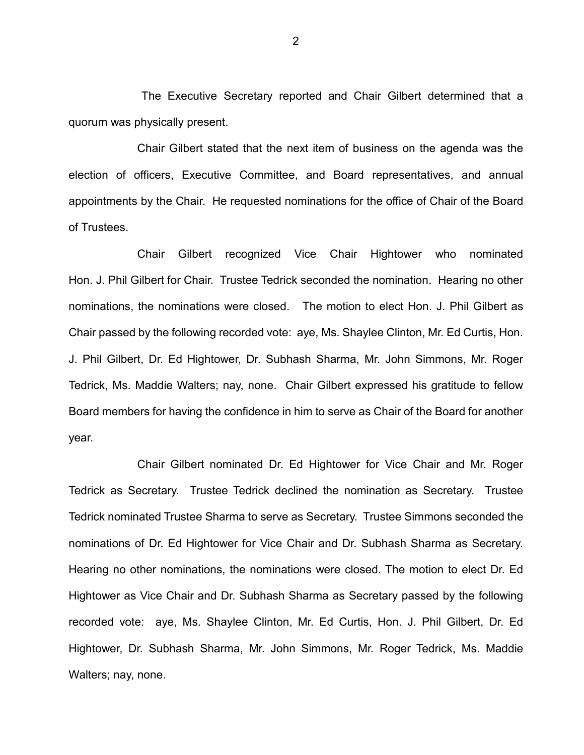The Executive Secretary reported and Chair Gilbert determined that a quorum was physically present.

Chair Gilbert stated that the next item of business on the agenda was the election of officers, Executive Committee, and Board representatives, and annual appointments by the Chair. He requested nominations for the office of Chair of the Board of Trustees.

Chair Gilbert recognized Vice Chair Hightower who nominated Hon. J. Phil Gilbert for Chair. Trustee Tedrick seconded the nomination. Hearing no other nominations, the nominations were closed. The motion to elect Hon. J. Phil Gilbert as Chair passed by the following recorded vote: aye, Ms. Shaylee Clinton, Mr. Ed Curtis, Hon. J. Phil Gilbert, Dr. Ed Hightower, Dr. Subhash Sharma, Mr. John Simmons, Mr. Roger Tedrick, Ms. Maddie Walters; nay, none. Chair Gilbert expressed his gratitude to fellow Board members for having the confidence in him to serve as Chair of the Board for another year.

Chair Gilbert nominated Dr. Ed Hightower for Vice Chair and Mr. Roger Tedrick as Secretary. Trustee Tedrick declined the nomination as Secretary. Trustee Tedrick nominated Trustee Sharma to serve as Secretary. Trustee Simmons seconded the nominations of Dr. Ed Hightower for Vice Chair and Dr. Subhash Sharma as Secretary. Hearing no other nominations, the nominations were closed. The motion to elect Dr. Ed Hightower as Vice Chair and Dr. Subhash Sharma as Secretary passed by the following recorded vote: aye, Ms. Shaylee Clinton, Mr. Ed Curtis, Hon. J. Phil Gilbert, Dr. Ed Hightower, Dr. Subhash Sharma, Mr. John Simmons, Mr. Roger Tedrick, Ms. Maddie Walters; nay, none.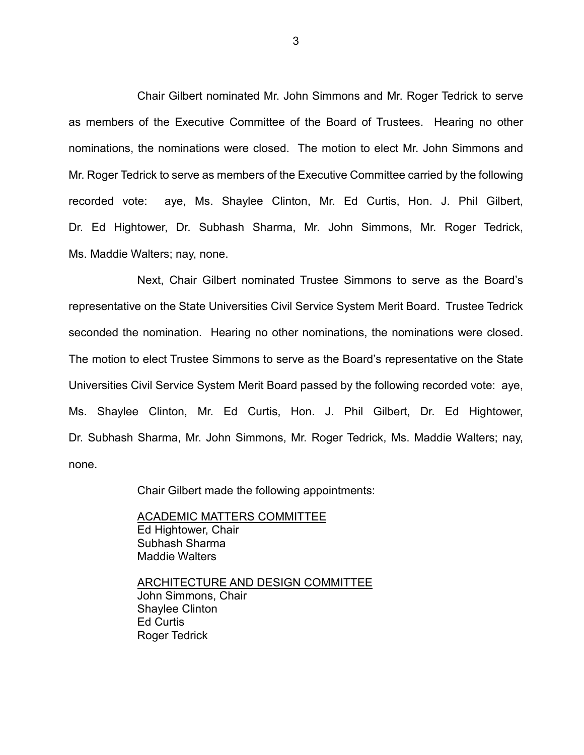Chair Gilbert nominated Mr. John Simmons and Mr. Roger Tedrick to serve as members of the Executive Committee of the Board of Trustees. Hearing no other nominations, the nominations were closed. The motion to elect Mr. John Simmons and Mr. Roger Tedrick to serve as members of the Executive Committee carried by the following recorded vote: aye, Ms. Shaylee Clinton, Mr. Ed Curtis, Hon. J. Phil Gilbert, Dr. Ed Hightower, Dr. Subhash Sharma, Mr. John Simmons, Mr. Roger Tedrick, Ms. Maddie Walters; nay, none.

Next, Chair Gilbert nominated Trustee Simmons to serve as the Board's representative on the State Universities Civil Service System Merit Board. Trustee Tedrick seconded the nomination. Hearing no other nominations, the nominations were closed. The motion to elect Trustee Simmons to serve as the Board's representative on the State Universities Civil Service System Merit Board passed by the following recorded vote: aye, Ms. Shaylee Clinton, Mr. Ed Curtis, Hon. J. Phil Gilbert, Dr. Ed Hightower, Dr. Subhash Sharma, Mr. John Simmons, Mr. Roger Tedrick, Ms. Maddie Walters; nay, none.

Chair Gilbert made the following appointments:

ACADEMIC MATTERS COMMITTEE Ed Hightower, Chair Subhash Sharma Maddie Walters

ARCHITECTURE AND DESIGN COMMITTEE John Simmons, Chair Shaylee Clinton Ed Curtis Roger Tedrick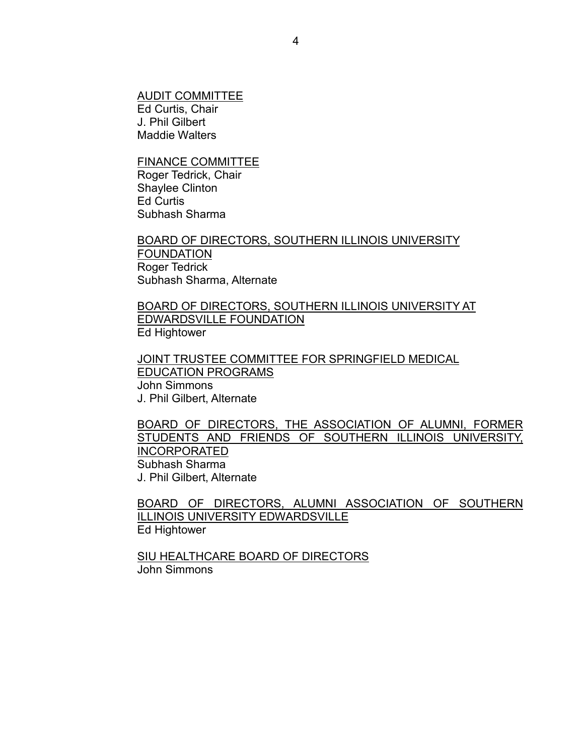AUDIT COMMITTEE Ed Curtis, Chair J. Phil Gilbert Maddie Walters

FINANCE COMMITTEE Roger Tedrick, Chair Shaylee Clinton Ed Curtis Subhash Sharma

BOARD OF DIRECTORS, SOUTHERN ILLINOIS UNIVERSITY FOUNDATION Roger Tedrick Subhash Sharma, Alternate

BOARD OF DIRECTORS, SOUTHERN ILLINOIS UNIVERSITY AT EDWARDSVILLE FOUNDATION Ed Hightower

JOINT TRUSTEE COMMITTEE FOR SPRINGFIELD MEDICAL EDUCATION PROGRAMS John Simmons J. Phil Gilbert, Alternate

BOARD OF DIRECTORS, THE ASSOCIATION OF ALUMNI, FORMER STUDENTS AND FRIENDS OF SOUTHERN ILLINOIS UNIVERSITY, INCORPORATED Subhash Sharma J. Phil Gilbert, Alternate

BOARD OF DIRECTORS, ALUMNI ASSOCIATION OF SOUTHERN ILLINOIS UNIVERSITY EDWARDSVILLE Ed Hightower

SIU HEALTHCARE BOARD OF DIRECTORS John Simmons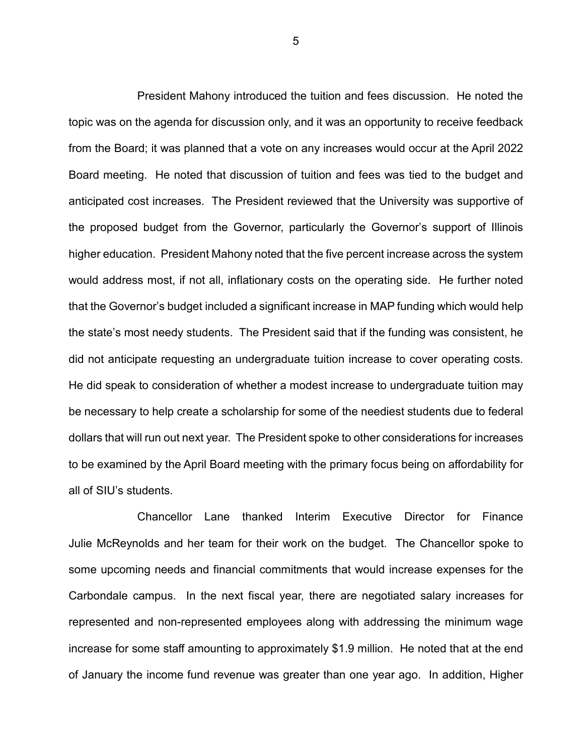President Mahony introduced the tuition and fees discussion. He noted the topic was on the agenda for discussion only, and it was an opportunity to receive feedback from the Board; it was planned that a vote on any increases would occur at the April 2022 Board meeting. He noted that discussion of tuition and fees was tied to the budget and anticipated cost increases. The President reviewed that the University was supportive of the proposed budget from the Governor, particularly the Governor's support of Illinois higher education. President Mahony noted that the five percent increase across the system would address most, if not all, inflationary costs on the operating side. He further noted that the Governor's budget included a significant increase in MAP funding which would help the state's most needy students. The President said that if the funding was consistent, he did not anticipate requesting an undergraduate tuition increase to cover operating costs. He did speak to consideration of whether a modest increase to undergraduate tuition may be necessary to help create a scholarship for some of the neediest students due to federal dollars that will run out next year. The President spoke to other considerations for increases to be examined by the April Board meeting with the primary focus being on affordability for all of SIU's students.

Chancellor Lane thanked Interim Executive Director for Finance Julie McReynolds and her team for their work on the budget. The Chancellor spoke to some upcoming needs and financial commitments that would increase expenses for the Carbondale campus. In the next fiscal year, there are negotiated salary increases for represented and non-represented employees along with addressing the minimum wage increase for some staff amounting to approximately \$1.9 million. He noted that at the end of January the income fund revenue was greater than one year ago. In addition, Higher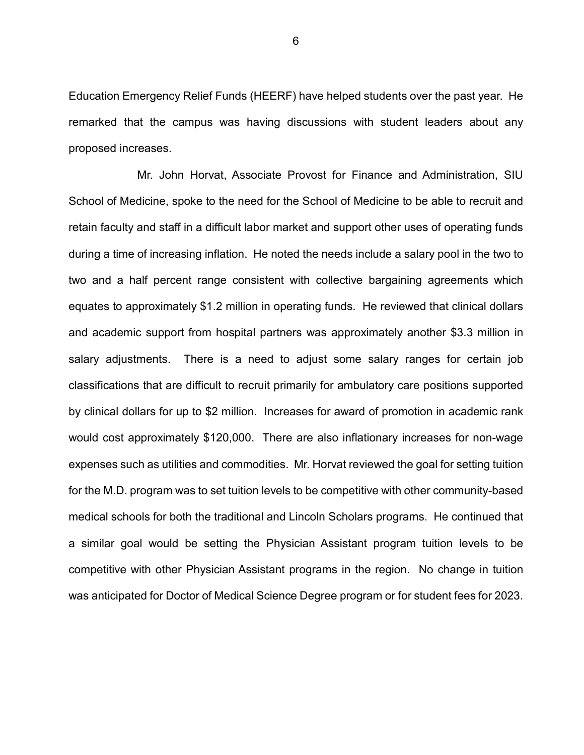Education Emergency Relief Funds (HEERF) have helped students over the past year. He remarked that the campus was having discussions with student leaders about any proposed increases.

Mr. John Horvat, Associate Provost for Finance and Administration, SIU School of Medicine, spoke to the need for the School of Medicine to be able to recruit and retain faculty and staff in a difficult labor market and support other uses of operating funds during a time of increasing inflation. He noted the needs include a salary pool in the two to two and a half percent range consistent with collective bargaining agreements which equates to approximately \$1.2 million in operating funds. He reviewed that clinical dollars and academic support from hospital partners was approximately another \$3.3 million in salary adjustments. There is a need to adjust some salary ranges for certain job classifications that are difficult to recruit primarily for ambulatory care positions supported by clinical dollars for up to \$2 million. Increases for award of promotion in academic rank would cost approximately \$120,000. There are also inflationary increases for non-wage expenses such as utilities and commodities. Mr. Horvat reviewed the goal for setting tuition for the M.D. program was to set tuition levels to be competitive with other community-based medical schools for both the traditional and Lincoln Scholars programs. He continued that a similar goal would be setting the Physician Assistant program tuition levels to be competitive with other Physician Assistant programs in the region. No change in tuition was anticipated for Doctor of Medical Science Degree program or for student fees for 2023.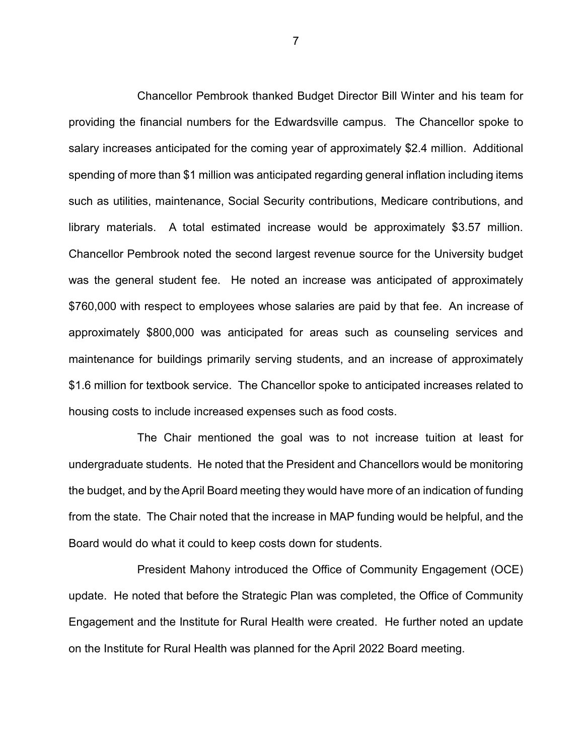Chancellor Pembrook thanked Budget Director Bill Winter and his team for providing the financial numbers for the Edwardsville campus. The Chancellor spoke to salary increases anticipated for the coming year of approximately \$2.4 million. Additional spending of more than \$1 million was anticipated regarding general inflation including items such as utilities, maintenance, Social Security contributions, Medicare contributions, and library materials. A total estimated increase would be approximately \$3.57 million. Chancellor Pembrook noted the second largest revenue source for the University budget was the general student fee. He noted an increase was anticipated of approximately \$760,000 with respect to employees whose salaries are paid by that fee. An increase of approximately \$800,000 was anticipated for areas such as counseling services and maintenance for buildings primarily serving students, and an increase of approximately \$1.6 million for textbook service. The Chancellor spoke to anticipated increases related to housing costs to include increased expenses such as food costs.

The Chair mentioned the goal was to not increase tuition at least for undergraduate students. He noted that the President and Chancellors would be monitoring the budget, and by the April Board meeting they would have more of an indication of funding from the state. The Chair noted that the increase in MAP funding would be helpful, and the Board would do what it could to keep costs down for students.

President Mahony introduced the Office of Community Engagement (OCE) update. He noted that before the Strategic Plan was completed, the Office of Community Engagement and the Institute for Rural Health were created. He further noted an update on the Institute for Rural Health was planned for the April 2022 Board meeting.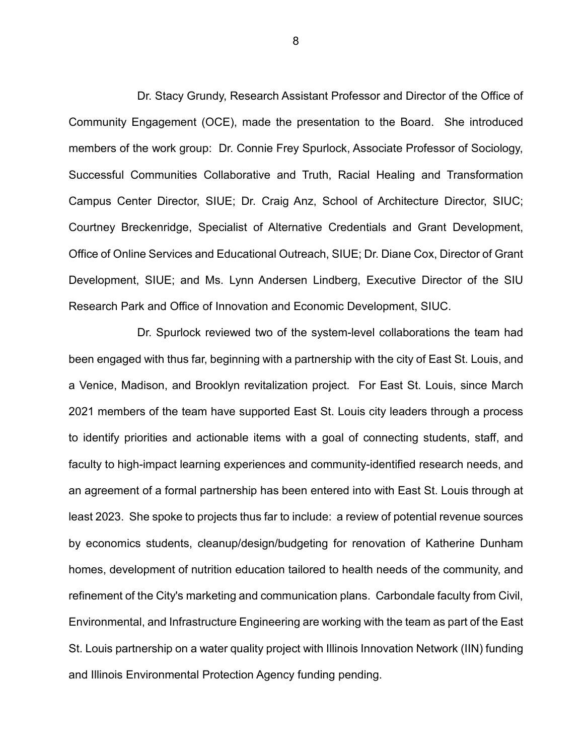Dr. Stacy Grundy, Research Assistant Professor and Director of the Office of Community Engagement (OCE), made the presentation to the Board. She introduced members of the work group: Dr. Connie Frey Spurlock, Associate Professor of Sociology, Successful Communities Collaborative and Truth, Racial Healing and Transformation Campus Center Director, SIUE; Dr. Craig Anz, School of Architecture Director, SIUC; Courtney Breckenridge, Specialist of Alternative Credentials and Grant Development, Office of Online Services and Educational Outreach, SIUE; Dr. Diane Cox, Director of Grant Development, SIUE; and Ms. Lynn Andersen Lindberg, Executive Director of the SIU Research Park and Office of Innovation and Economic Development, SIUC.

Dr. Spurlock reviewed two of the system-level collaborations the team had been engaged with thus far, beginning with a partnership with the city of East St. Louis, and a Venice, Madison, and Brooklyn revitalization project. For East St. Louis, since March 2021 members of the team have supported East St. Louis city leaders through a process to identify priorities and actionable items with a goal of connecting students, staff, and faculty to high-impact learning experiences and community-identified research needs, and an agreement of a formal partnership has been entered into with East St. Louis through at least 2023. She spoke to projects thus far to include: a review of potential revenue sources by economics students, cleanup/design/budgeting for renovation of Katherine Dunham homes, development of nutrition education tailored to health needs of the community, and refinement of the City's marketing and communication plans. Carbondale faculty from Civil, Environmental, and Infrastructure Engineering are working with the team as part of the East St. Louis partnership on a water quality project with Illinois Innovation Network (IIN) funding and Illinois Environmental Protection Agency funding pending.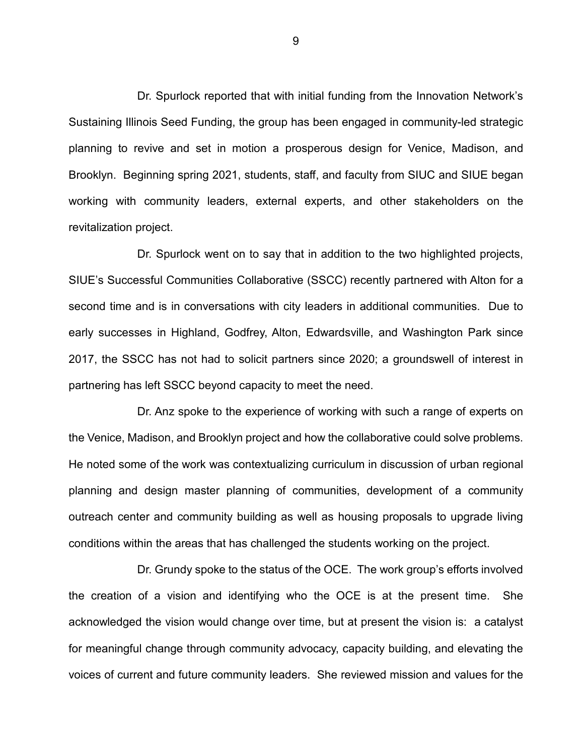Dr. Spurlock reported that with initial funding from the Innovation Network's Sustaining Illinois Seed Funding, the group has been engaged in community-led strategic planning to revive and set in motion a prosperous design for Venice, Madison, and Brooklyn. Beginning spring 2021, students, staff, and faculty from SIUC and SIUE began working with community leaders, external experts, and other stakeholders on the revitalization project.

Dr. Spurlock went on to say that in addition to the two highlighted projects, SIUE's Successful Communities Collaborative (SSCC) recently partnered with Alton for a second time and is in conversations with city leaders in additional communities. Due to early successes in Highland, Godfrey, Alton, Edwardsville, and Washington Park since 2017, the SSCC has not had to solicit partners since 2020; a groundswell of interest in partnering has left SSCC beyond capacity to meet the need.

Dr. Anz spoke to the experience of working with such a range of experts on the Venice, Madison, and Brooklyn project and how the collaborative could solve problems. He noted some of the work was contextualizing curriculum in discussion of urban regional planning and design master planning of communities, development of a community outreach center and community building as well as housing proposals to upgrade living conditions within the areas that has challenged the students working on the project.

Dr. Grundy spoke to the status of the OCE. The work group's efforts involved the creation of a vision and identifying who the OCE is at the present time. She acknowledged the vision would change over time, but at present the vision is: a catalyst for meaningful change through community advocacy, capacity building, and elevating the voices of current and future community leaders. She reviewed mission and values for the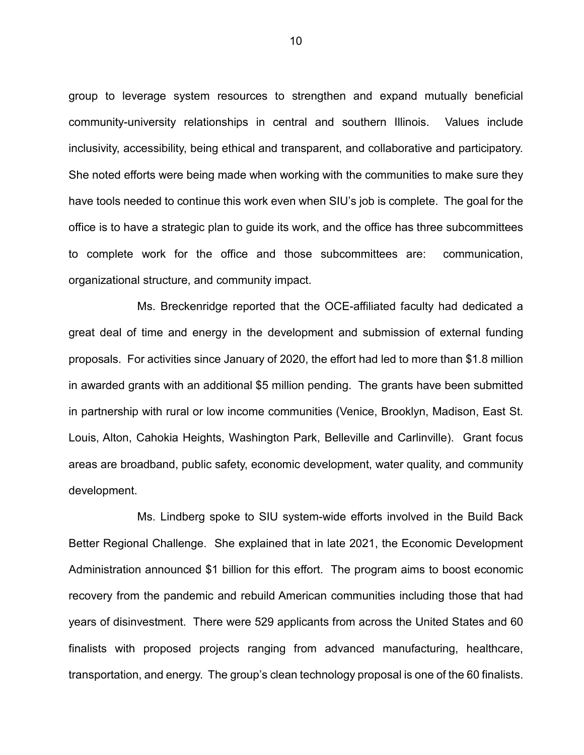group to leverage system resources to strengthen and expand mutually beneficial community-university relationships in central and southern Illinois. Values include inclusivity, accessibility, being ethical and transparent, and collaborative and participatory. She noted efforts were being made when working with the communities to make sure they have tools needed to continue this work even when SIU's job is complete. The goal for the office is to have a strategic plan to guide its work, and the office has three subcommittees to complete work for the office and those subcommittees are: communication, organizational structure, and community impact.

Ms. Breckenridge reported that the OCE-affiliated faculty had dedicated a great deal of time and energy in the development and submission of external funding proposals. For activities since January of 2020, the effort had led to more than \$1.8 million in awarded grants with an additional \$5 million pending. The grants have been submitted in partnership with rural or low income communities (Venice, Brooklyn, Madison, East St. Louis, Alton, Cahokia Heights, Washington Park, Belleville and Carlinville). Grant focus areas are broadband, public safety, economic development, water quality, and community development.

Ms. Lindberg spoke to SIU system-wide efforts involved in the Build Back Better Regional Challenge. She explained that in late 2021, the Economic Development Administration announced \$1 billion for this effort. The program aims to boost economic recovery from the pandemic and rebuild American communities including those that had years of disinvestment. There were 529 applicants from across the United States and 60 finalists with proposed projects ranging from advanced manufacturing, healthcare, transportation, and energy. The group's clean technology proposal is one of the 60 finalists.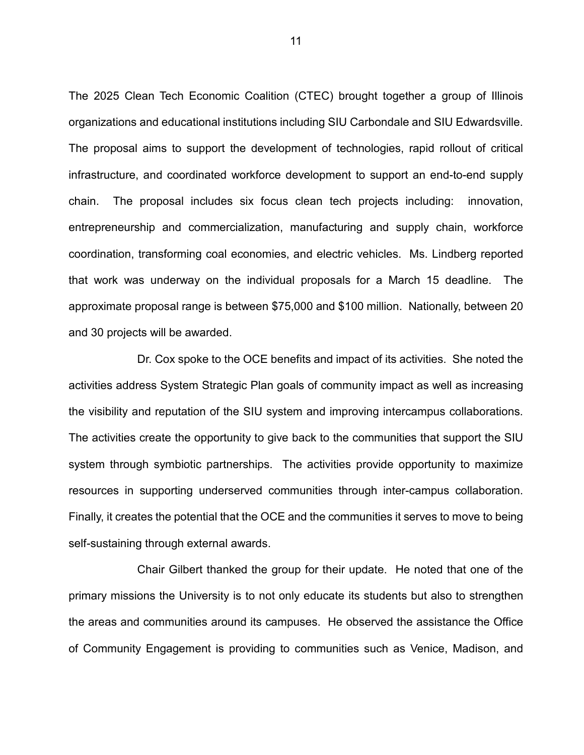The 2025 Clean Tech Economic Coalition (CTEC) brought together a group of Illinois organizations and educational institutions including SIU Carbondale and SIU Edwardsville. The proposal aims to support the development of technologies, rapid rollout of critical infrastructure, and coordinated workforce development to support an end-to-end supply chain. The proposal includes six focus clean tech projects including: innovation, entrepreneurship and commercialization, manufacturing and supply chain, workforce coordination, transforming coal economies, and electric vehicles. Ms. Lindberg reported that work was underway on the individual proposals for a March 15 deadline. The approximate proposal range is between \$75,000 and \$100 million. Nationally, between 20 and 30 projects will be awarded.

Dr. Cox spoke to the OCE benefits and impact of its activities. She noted the activities address System Strategic Plan goals of community impact as well as increasing the visibility and reputation of the SIU system and improving intercampus collaborations. The activities create the opportunity to give back to the communities that support the SIU system through symbiotic partnerships. The activities provide opportunity to maximize resources in supporting underserved communities through inter-campus collaboration. Finally, it creates the potential that the OCE and the communities it serves to move to being self-sustaining through external awards.

Chair Gilbert thanked the group for their update. He noted that one of the primary missions the University is to not only educate its students but also to strengthen the areas and communities around its campuses. He observed the assistance the Office of Community Engagement is providing to communities such as Venice, Madison, and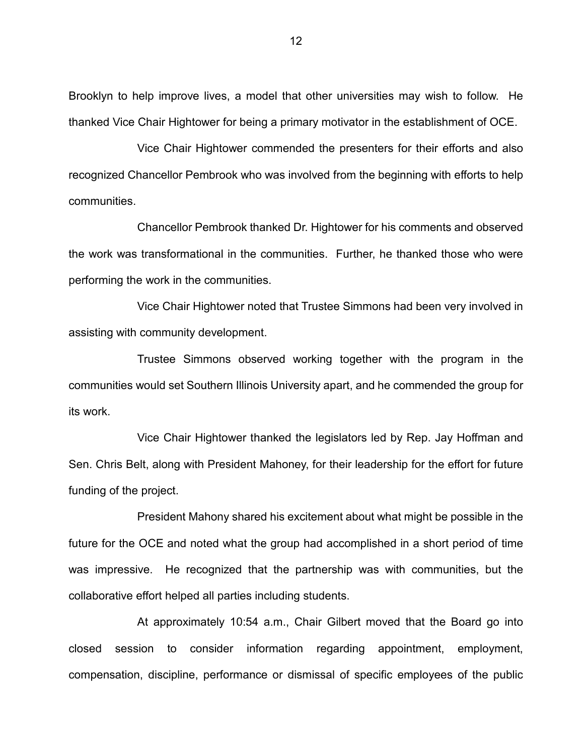Brooklyn to help improve lives, a model that other universities may wish to follow. He thanked Vice Chair Hightower for being a primary motivator in the establishment of OCE.

Vice Chair Hightower commended the presenters for their efforts and also recognized Chancellor Pembrook who was involved from the beginning with efforts to help communities.

Chancellor Pembrook thanked Dr. Hightower for his comments and observed the work was transformational in the communities. Further, he thanked those who were performing the work in the communities.

Vice Chair Hightower noted that Trustee Simmons had been very involved in assisting with community development.

Trustee Simmons observed working together with the program in the communities would set Southern Illinois University apart, and he commended the group for its work.

Vice Chair Hightower thanked the legislators led by Rep. Jay Hoffman and Sen. Chris Belt, along with President Mahoney, for their leadership for the effort for future funding of the project.

President Mahony shared his excitement about what might be possible in the future for the OCE and noted what the group had accomplished in a short period of time was impressive. He recognized that the partnership was with communities, but the collaborative effort helped all parties including students.

At approximately 10:54 a.m., Chair Gilbert moved that the Board go into closed session to consider information regarding appointment, employment, compensation, discipline, performance or dismissal of specific employees of the public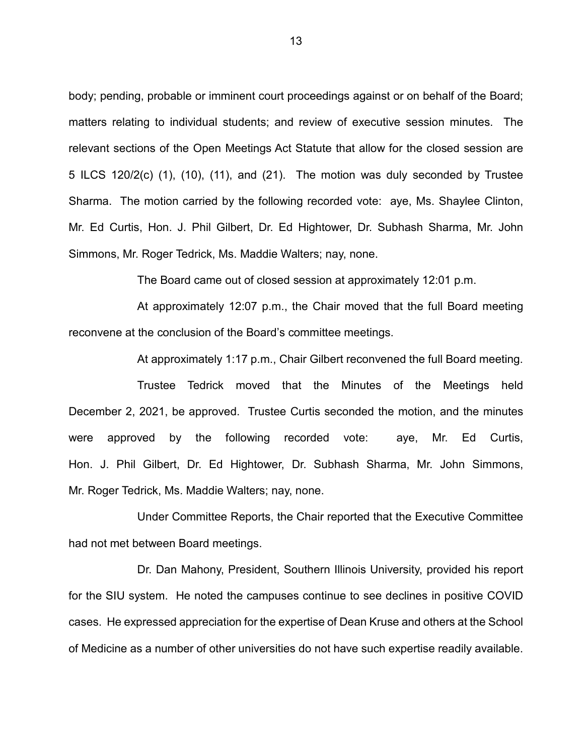body; pending, probable or imminent court proceedings against or on behalf of the Board; matters relating to individual students; and review of executive session minutes. The relevant sections of the Open Meetings Act Statute that allow for the closed session are 5 ILCS 120/2(c) (1), (10), (11), and (21). The motion was duly seconded by Trustee Sharma. The motion carried by the following recorded vote: aye, Ms. Shaylee Clinton, Mr. Ed Curtis, Hon. J. Phil Gilbert, Dr. Ed Hightower, Dr. Subhash Sharma, Mr. John Simmons, Mr. Roger Tedrick, Ms. Maddie Walters; nay, none.

The Board came out of closed session at approximately 12:01 p.m.

At approximately 12:07 p.m., the Chair moved that the full Board meeting reconvene at the conclusion of the Board's committee meetings.

At approximately 1:17 p.m., Chair Gilbert reconvened the full Board meeting.

Trustee Tedrick moved that the Minutes of the Meetings held December 2, 2021, be approved. Trustee Curtis seconded the motion, and the minutes were approved by the following recorded vote: aye, Mr. Ed Curtis, Hon. J. Phil Gilbert, Dr. Ed Hightower, Dr. Subhash Sharma, Mr. John Simmons, Mr. Roger Tedrick, Ms. Maddie Walters; nay, none.

Under Committee Reports, the Chair reported that the Executive Committee had not met between Board meetings.

Dr. Dan Mahony, President, Southern Illinois University, provided his report for the SIU system. He noted the campuses continue to see declines in positive COVID cases. He expressed appreciation for the expertise of Dean Kruse and others at the School of Medicine as a number of other universities do not have such expertise readily available.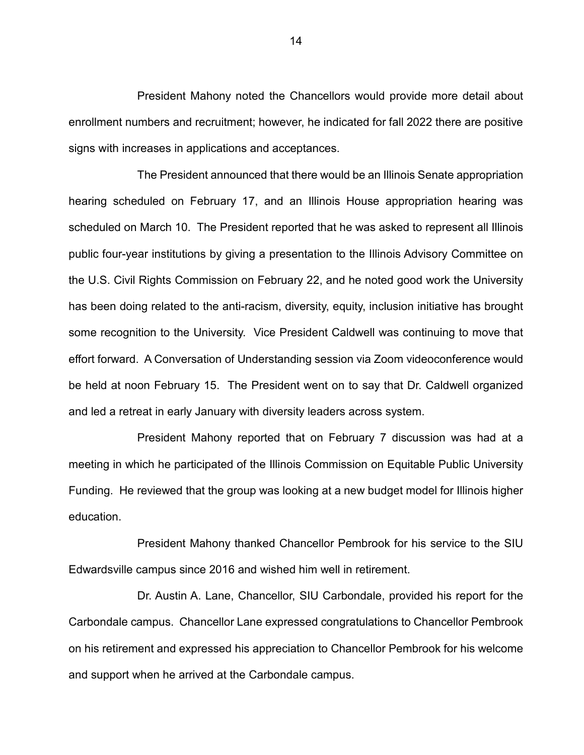President Mahony noted the Chancellors would provide more detail about enrollment numbers and recruitment; however, he indicated for fall 2022 there are positive signs with increases in applications and acceptances.

The President announced that there would be an Illinois Senate appropriation hearing scheduled on February 17, and an Illinois House appropriation hearing was scheduled on March 10. The President reported that he was asked to represent all Illinois public four-year institutions by giving a presentation to the Illinois Advisory Committee on the U.S. Civil Rights Commission on February 22, and he noted good work the University has been doing related to the anti-racism, diversity, equity, inclusion initiative has brought some recognition to the University. Vice President Caldwell was continuing to move that effort forward. A Conversation of Understanding session via Zoom videoconference would be held at noon February 15. The President went on to say that Dr. Caldwell organized and led a retreat in early January with diversity leaders across system.

President Mahony reported that on February 7 discussion was had at a meeting in which he participated of the Illinois Commission on Equitable Public University Funding. He reviewed that the group was looking at a new budget model for Illinois higher education.

President Mahony thanked Chancellor Pembrook for his service to the SIU Edwardsville campus since 2016 and wished him well in retirement.

Dr. Austin A. Lane, Chancellor, SIU Carbondale, provided his report for the Carbondale campus. Chancellor Lane expressed congratulations to Chancellor Pembrook on his retirement and expressed his appreciation to Chancellor Pembrook for his welcome and support when he arrived at the Carbondale campus.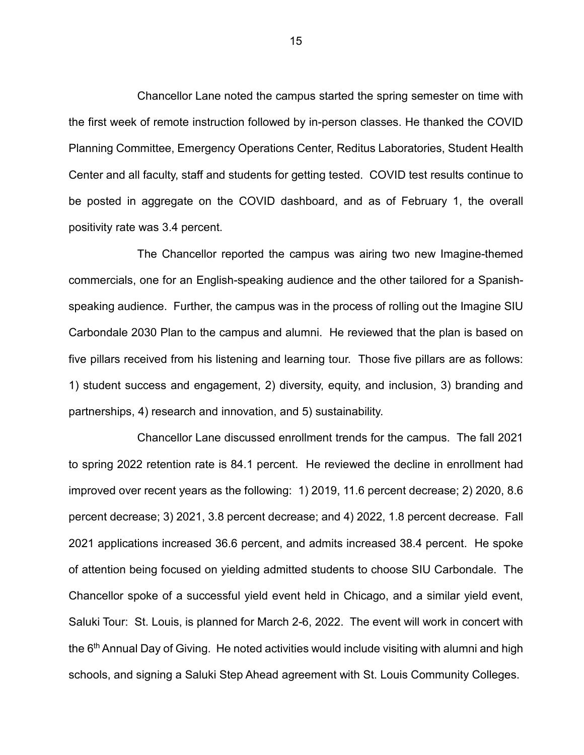Chancellor Lane noted the campus started the spring semester on time with the first week of remote instruction followed by in-person classes. He thanked the COVID Planning Committee, Emergency Operations Center, Reditus Laboratories, Student Health Center and all faculty, staff and students for getting tested. COVID test results continue to be posted in aggregate on the COVID dashboard, and as of February 1, the overall positivity rate was 3.4 percent.

The Chancellor reported the campus was airing two new Imagine-themed commercials, one for an English-speaking audience and the other tailored for a Spanishspeaking audience. Further, the campus was in the process of rolling out the Imagine SIU Carbondale 2030 Plan to the campus and alumni. He reviewed that the plan is based on five pillars received from his listening and learning tour. Those five pillars are as follows: 1) student success and engagement, 2) diversity, equity, and inclusion, 3) branding and partnerships, 4) research and innovation, and 5) sustainability.

Chancellor Lane discussed enrollment trends for the campus. The fall 2021 to spring 2022 retention rate is 84.1 percent. He reviewed the decline in enrollment had improved over recent years as the following: 1) 2019, 11.6 percent decrease; 2) 2020, 8.6 percent decrease; 3) 2021, 3.8 percent decrease; and 4) 2022, 1.8 percent decrease. Fall 2021 applications increased 36.6 percent, and admits increased 38.4 percent. He spoke of attention being focused on yielding admitted students to choose SIU Carbondale. The Chancellor spoke of a successful yield event held in Chicago, and a similar yield event, Saluki Tour: St. Louis, is planned for March 2-6, 2022. The event will work in concert with the  $6<sup>th</sup>$  Annual Day of Giving. He noted activities would include visiting with alumni and high schools, and signing a Saluki Step Ahead agreement with St. Louis Community Colleges.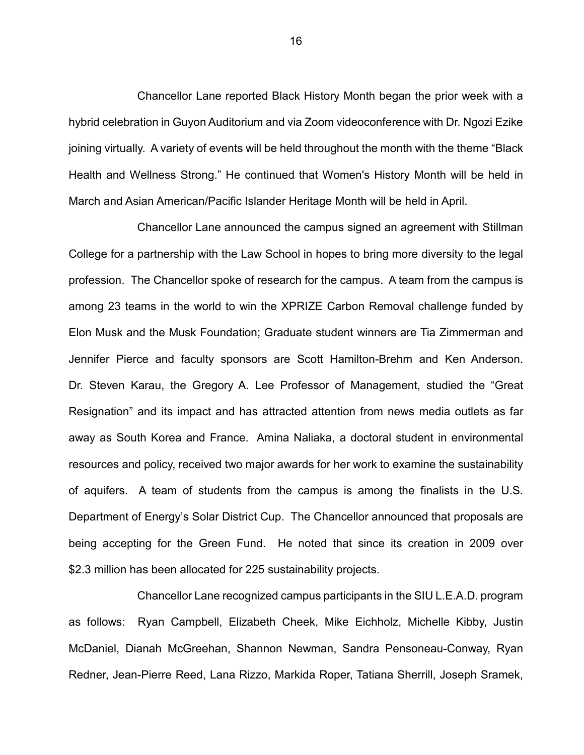Chancellor Lane reported Black History Month began the prior week with a hybrid celebration in Guyon Auditorium and via Zoom videoconference with Dr. Ngozi Ezike joining virtually. A variety of events will be held throughout the month with the theme "Black Health and Wellness Strong." He continued that Women's History Month will be held in March and Asian American/Pacific Islander Heritage Month will be held in April.

Chancellor Lane announced the campus signed an agreement with Stillman College for a partnership with the Law School in hopes to bring more diversity to the legal profession. The Chancellor spoke of research for the campus. A team from the campus is among 23 teams in the world to win the XPRIZE Carbon Removal challenge funded by Elon Musk and the Musk Foundation; Graduate student winners are Tia Zimmerman and Jennifer Pierce and faculty sponsors are Scott Hamilton-Brehm and Ken Anderson. Dr. Steven Karau, the Gregory A. Lee Professor of Management, studied the "Great Resignation" and its impact and has attracted attention from news media outlets as far away as South Korea and France. Amina Naliaka, a doctoral student in environmental resources and policy, received two major awards for her work to examine the sustainability of aquifers. A team of students from the campus is among the finalists in the U.S. Department of Energy's Solar District Cup. The Chancellor announced that proposals are being accepting for the Green Fund. He noted that since its creation in 2009 over \$2.3 million has been allocated for 225 sustainability projects.

Chancellor Lane recognized campus participants in the SIU L.E.A.D. program as follows: Ryan Campbell, Elizabeth Cheek, Mike Eichholz, Michelle Kibby, Justin McDaniel, Dianah McGreehan, Shannon Newman, Sandra Pensoneau-Conway, Ryan Redner, Jean-Pierre Reed, Lana Rizzo, Markida Roper, Tatiana Sherrill, Joseph Sramek,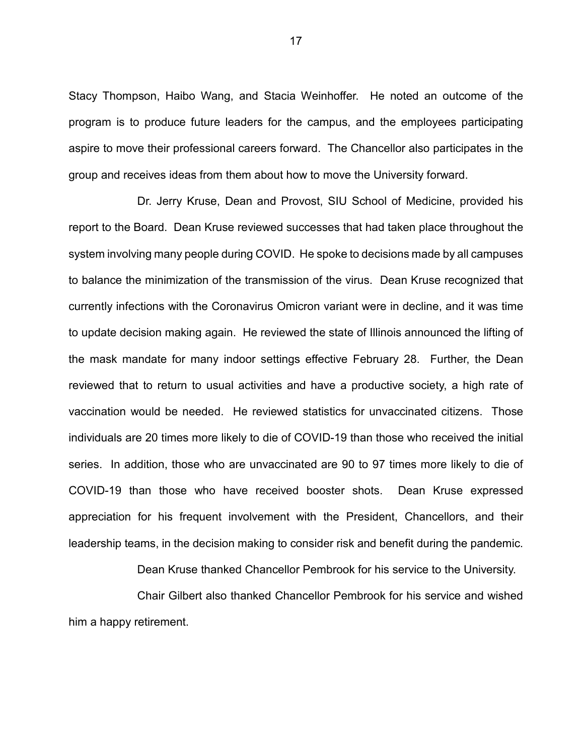Stacy Thompson, Haibo Wang, and Stacia Weinhoffer. He noted an outcome of the program is to produce future leaders for the campus, and the employees participating aspire to move their professional careers forward. The Chancellor also participates in the group and receives ideas from them about how to move the University forward.

Dr. Jerry Kruse, Dean and Provost, SIU School of Medicine, provided his report to the Board. Dean Kruse reviewed successes that had taken place throughout the system involving many people during COVID. He spoke to decisions made by all campuses to balance the minimization of the transmission of the virus. Dean Kruse recognized that currently infections with the Coronavirus Omicron variant were in decline, and it was time to update decision making again. He reviewed the state of Illinois announced the lifting of the mask mandate for many indoor settings effective February 28. Further, the Dean reviewed that to return to usual activities and have a productive society, a high rate of vaccination would be needed. He reviewed statistics for unvaccinated citizens. Those individuals are 20 times more likely to die of COVID-19 than those who received the initial series. In addition, those who are unvaccinated are 90 to 97 times more likely to die of COVID-19 than those who have received booster shots. Dean Kruse expressed appreciation for his frequent involvement with the President, Chancellors, and their leadership teams, in the decision making to consider risk and benefit during the pandemic.

Dean Kruse thanked Chancellor Pembrook for his service to the University.

Chair Gilbert also thanked Chancellor Pembrook for his service and wished him a happy retirement.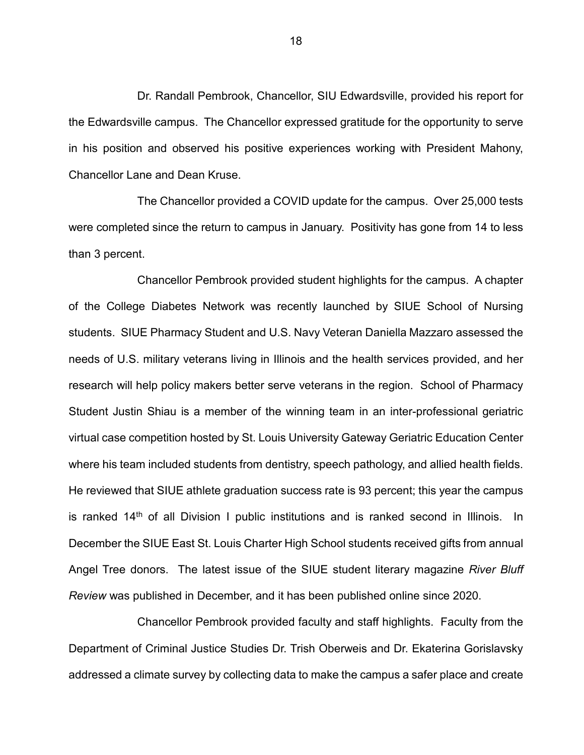Dr. Randall Pembrook, Chancellor, SIU Edwardsville, provided his report for the Edwardsville campus. The Chancellor expressed gratitude for the opportunity to serve in his position and observed his positive experiences working with President Mahony, Chancellor Lane and Dean Kruse.

The Chancellor provided a COVID update for the campus. Over 25,000 tests were completed since the return to campus in January. Positivity has gone from 14 to less than 3 percent.

Chancellor Pembrook provided student highlights for the campus. A chapter of the College Diabetes Network was recently launched by SIUE School of Nursing students. SIUE Pharmacy Student and U.S. Navy Veteran Daniella Mazzaro assessed the needs of U.S. military veterans living in Illinois and the health services provided, and her research will help policy makers better serve veterans in the region. School of Pharmacy Student Justin Shiau is a member of the winning team in an inter-professional geriatric virtual case competition hosted by St. Louis University Gateway Geriatric Education Center where his team included students from dentistry, speech pathology, and allied health fields. He reviewed that SIUE athlete graduation success rate is 93 percent; this year the campus is ranked  $14<sup>th</sup>$  of all Division I public institutions and is ranked second in Illinois. In December the SIUE East St. Louis Charter High School students received gifts from annual Angel Tree donors. The latest issue of the SIUE student literary magazine *River Bluff Review* was published in December, and it has been published online since 2020.

Chancellor Pembrook provided faculty and staff highlights. Faculty from the Department of Criminal Justice Studies Dr. Trish Oberweis and Dr. Ekaterina Gorislavsky addressed a climate survey by collecting data to make the campus a safer place and create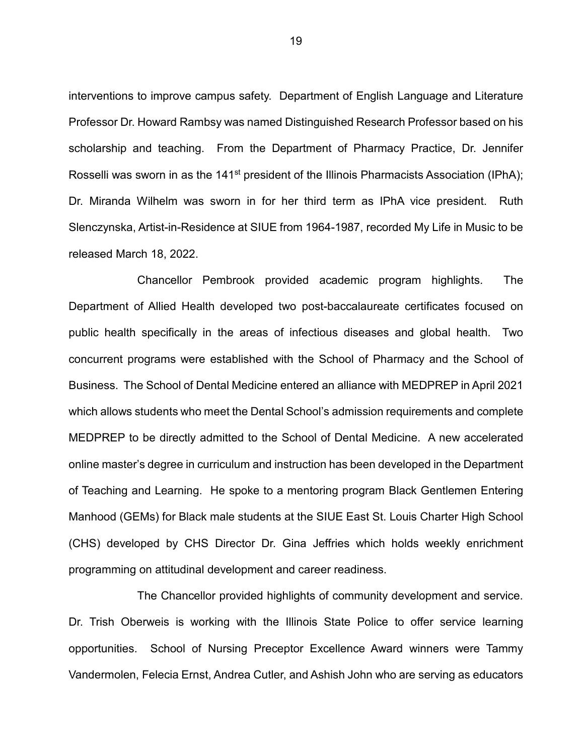interventions to improve campus safety. Department of English Language and Literature Professor Dr. Howard Rambsy was named Distinguished Research Professor based on his scholarship and teaching. From the Department of Pharmacy Practice, Dr. Jennifer Rosselli was sworn in as the 141<sup>st</sup> president of the Illinois Pharmacists Association (IPhA); Dr. Miranda Wilhelm was sworn in for her third term as IPhA vice president. Ruth Slenczynska, Artist-in-Residence at SIUE from 1964-1987, recorded My Life in Music to be released March 18, 2022.

Chancellor Pembrook provided academic program highlights. The Department of Allied Health developed two post-baccalaureate certificates focused on public health specifically in the areas of infectious diseases and global health. Two concurrent programs were established with the School of Pharmacy and the School of Business. The School of Dental Medicine entered an alliance with MEDPREP in April 2021 which allows students who meet the Dental School's admission requirements and complete MEDPREP to be directly admitted to the School of Dental Medicine. A new accelerated online master's degree in curriculum and instruction has been developed in the Department of Teaching and Learning. He spoke to a mentoring program Black Gentlemen Entering Manhood (GEMs) for Black male students at the SIUE East St. Louis Charter High School (CHS) developed by CHS Director Dr. Gina Jeffries which holds weekly enrichment programming on attitudinal development and career readiness.

The Chancellor provided highlights of community development and service. Dr. Trish Oberweis is working with the Illinois State Police to offer service learning opportunities. School of Nursing Preceptor Excellence Award winners were Tammy Vandermolen, Felecia Ernst, Andrea Cutler, and Ashish John who are serving as educators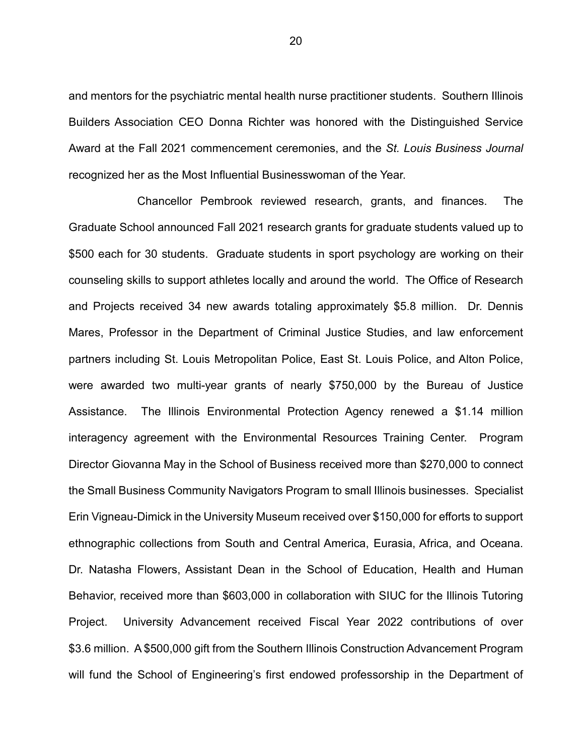and mentors for the psychiatric mental health nurse practitioner students. Southern Illinois Builders Association CEO Donna Richter was honored with the Distinguished Service Award at the Fall 2021 commencement ceremonies, and the *St. Louis Business Journal* recognized her as the Most Influential Businesswoman of the Year.

Chancellor Pembrook reviewed research, grants, and finances. The Graduate School announced Fall 2021 research grants for graduate students valued up to \$500 each for 30 students. Graduate students in sport psychology are working on their counseling skills to support athletes locally and around the world. The Office of Research and Projects received 34 new awards totaling approximately \$5.8 million. Dr. Dennis Mares, Professor in the Department of Criminal Justice Studies, and law enforcement partners including St. Louis Metropolitan Police, East St. Louis Police, and Alton Police, were awarded two multi-year grants of nearly \$750,000 by the Bureau of Justice Assistance. The Illinois Environmental Protection Agency renewed a \$1.14 million interagency agreement with the Environmental Resources Training Center. Program Director Giovanna May in the School of Business received more than \$270,000 to connect the Small Business Community Navigators Program to small Illinois businesses. Specialist Erin Vigneau-Dimick in the University Museum received over \$150,000 for efforts to support ethnographic collections from South and Central America, Eurasia, Africa, and Oceana. Dr. Natasha Flowers, Assistant Dean in the School of Education, Health and Human Behavior, received more than \$603,000 in collaboration with SIUC for the Illinois Tutoring Project. University Advancement received Fiscal Year 2022 contributions of over \$3.6 million. A \$500,000 gift from the Southern Illinois Construction Advancement Program will fund the School of Engineering's first endowed professorship in the Department of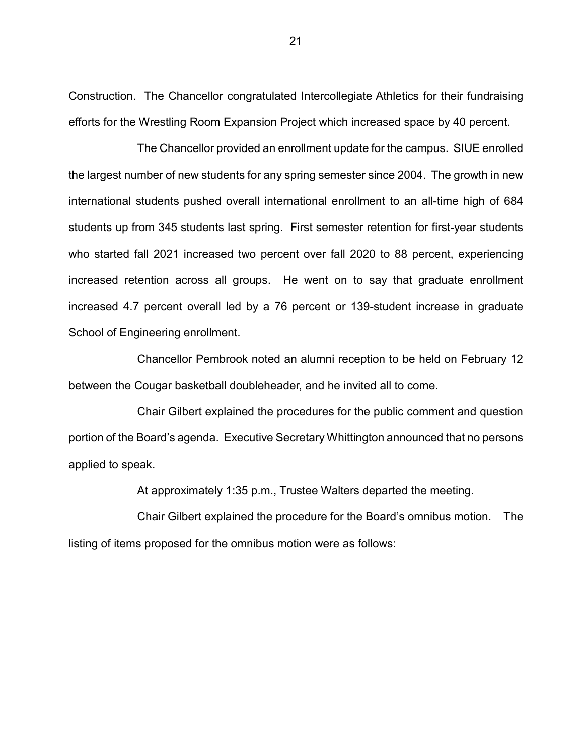Construction. The Chancellor congratulated Intercollegiate Athletics for their fundraising efforts for the Wrestling Room Expansion Project which increased space by 40 percent.

The Chancellor provided an enrollment update for the campus. SIUE enrolled the largest number of new students for any spring semester since 2004. The growth in new international students pushed overall international enrollment to an all-time high of 684 students up from 345 students last spring. First semester retention for first-year students who started fall 2021 increased two percent over fall 2020 to 88 percent, experiencing increased retention across all groups. He went on to say that graduate enrollment increased 4.7 percent overall led by a 76 percent or 139-student increase in graduate School of Engineering enrollment.

Chancellor Pembrook noted an alumni reception to be held on February 12 between the Cougar basketball doubleheader, and he invited all to come.

Chair Gilbert explained the procedures for the public comment and question portion of the Board's agenda. Executive Secretary Whittington announced that no persons applied to speak.

At approximately 1:35 p.m., Trustee Walters departed the meeting.

Chair Gilbert explained the procedure for the Board's omnibus motion. The listing of items proposed for the omnibus motion were as follows: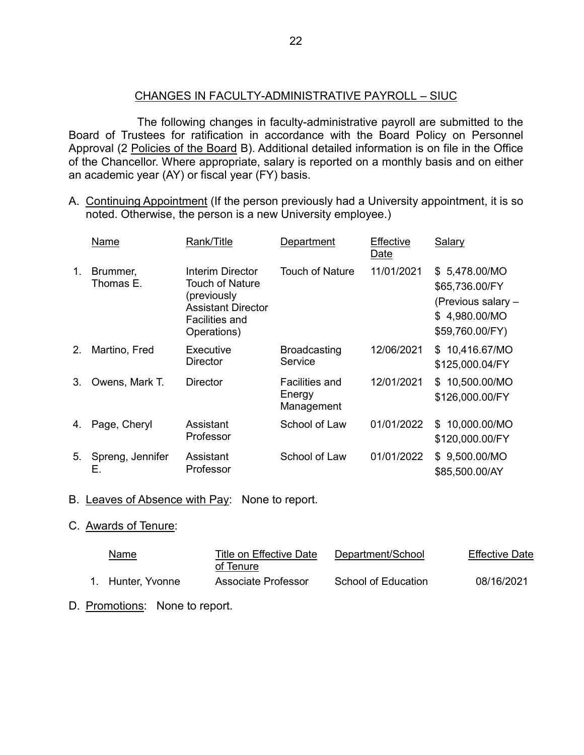# CHANGES IN FACULTY-ADMINISTRATIVE PAYROLL – SIUC

The following changes in faculty-administrative payroll are submitted to the Board of Trustees for ratification in accordance with the Board Policy on Personnel Approval (2 Policies of the Board B). Additional detailed information is on file in the Office of the Chancellor. Where appropriate, salary is reported on a monthly basis and on either an academic year (AY) or fiscal year (FY) basis.

A. Continuing Appointment (If the person previously had a University appointment, it is so noted. Otherwise, the person is a new University employee.)

|                | Name                   | Rank/Title                                                                                                                     | Department                             | Effective<br>Date | Salary                                                                                    |
|----------------|------------------------|--------------------------------------------------------------------------------------------------------------------------------|----------------------------------------|-------------------|-------------------------------------------------------------------------------------------|
| 1.             | Brummer,<br>Thomas E.  | Interim Director<br><b>Touch of Nature</b><br>(previously<br><b>Assistant Director</b><br><b>Facilities and</b><br>Operations) | <b>Touch of Nature</b>                 | 11/01/2021        | \$5,478.00/MO<br>\$65,736.00/FY<br>(Previous salary -<br>\$4,980.00/MO<br>\$59,760.00/FY) |
| 2.             | Martino, Fred          | Executive<br><b>Director</b>                                                                                                   | <b>Broadcasting</b><br>Service         | 12/06/2021        | \$10,416.67/MO<br>\$125,000.04/FY                                                         |
| 3 <sub>1</sub> | Owens, Mark T.         | <b>Director</b>                                                                                                                | Facilities and<br>Energy<br>Management | 12/01/2021        | \$10,500.00/MO<br>\$126,000.00/FY                                                         |
| 4.             | Page, Cheryl           | Assistant<br>Professor                                                                                                         | School of Law                          | 01/01/2022        | 10,000.00/MO<br>\$.<br>\$120,000.00/FY                                                    |
| 5.             | Spreng, Jennifer<br>Е. | Assistant<br>Professor                                                                                                         | School of Law                          | 01/01/2022        | \$9,500.00/MO<br>\$85,500.00/AY                                                           |

#### B. Leaves of Absence with Pay: None to report.

#### C. Awards of Tenure:

| Name              | Title on Effective Date<br>of Tenure | Department/School   | <b>Effective Date</b> |
|-------------------|--------------------------------------|---------------------|-----------------------|
| 1. Hunter, Yvonne | Associate Professor                  | School of Education | 08/16/2021            |

D. Promotions: None to report.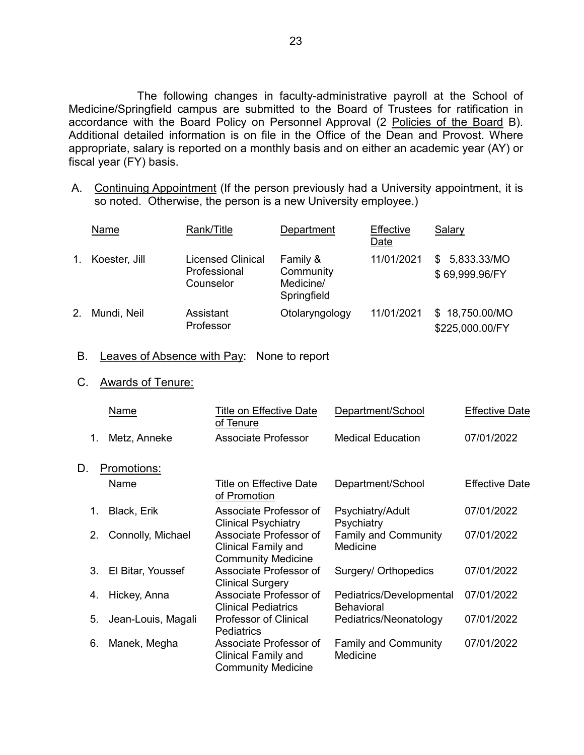The following changes in faculty-administrative payroll at the School of Medicine/Springfield campus are submitted to the Board of Trustees for ratification in accordance with the Board Policy on Personnel Approval (2 Policies of the Board B). Additional detailed information is on file in the Office of the Dean and Provost. Where appropriate, salary is reported on a monthly basis and on either an academic year (AY) or fiscal year (FY) basis.

A. Continuing Appointment (If the person previously had a University appointment, it is so noted. Otherwise, the person is a new University employee.)

|    | Name          | Rank/Title                                     | Department                                        | Effective<br>Date | Salary                            |
|----|---------------|------------------------------------------------|---------------------------------------------------|-------------------|-----------------------------------|
| 1. | Koester, Jill | Licensed Clinical<br>Professional<br>Counselor | Family &<br>Community<br>Medicine/<br>Springfield | 11/01/2021        | \$5,833.33/MO<br>\$69,999.96/FY   |
| 2. | Mundi, Neil   | Assistant<br>Professor                         | Otolaryngology                                    | 11/01/2021        | \$18,750.00/MO<br>\$225,000.00/FY |

- B. Leaves of Absence with Pay: None to report
- C. Awards of Tenure:

|    | Name               | Title on Effective Date<br>of Tenure                                       | Department/School                             | <b>Effective Date</b> |
|----|--------------------|----------------------------------------------------------------------------|-----------------------------------------------|-----------------------|
| 1. | Metz, Anneke       | Associate Professor                                                        | <b>Medical Education</b>                      | 07/01/2022            |
| D. | Promotions:        |                                                                            |                                               |                       |
|    | <u>Name</u>        | Title on Effective Date<br>of Promotion                                    | Department/School                             | <b>Effective Date</b> |
| 1. | Black, Erik        | Associate Professor of<br><b>Clinical Psychiatry</b>                       | Psychiatry/Adult<br>Psychiatry                | 07/01/2022            |
| 2. | Connolly, Michael  | Associate Professor of<br>Clinical Family and<br><b>Community Medicine</b> | <b>Family and Community</b><br>Medicine       | 07/01/2022            |
| 3. | El Bitar, Youssef  | Associate Professor of<br><b>Clinical Surgery</b>                          | Surgery/ Orthopedics                          | 07/01/2022            |
| 4. | Hickey, Anna       | Associate Professor of<br><b>Clinical Pediatrics</b>                       | Pediatrics/Developmental<br><b>Behavioral</b> | 07/01/2022            |
| 5. | Jean-Louis, Magali | <b>Professor of Clinical</b><br><b>Pediatrics</b>                          | Pediatrics/Neonatology                        | 07/01/2022            |
| 6. | Manek, Megha       | Associate Professor of<br>Clinical Family and<br><b>Community Medicine</b> | <b>Family and Community</b><br>Medicine       | 07/01/2022            |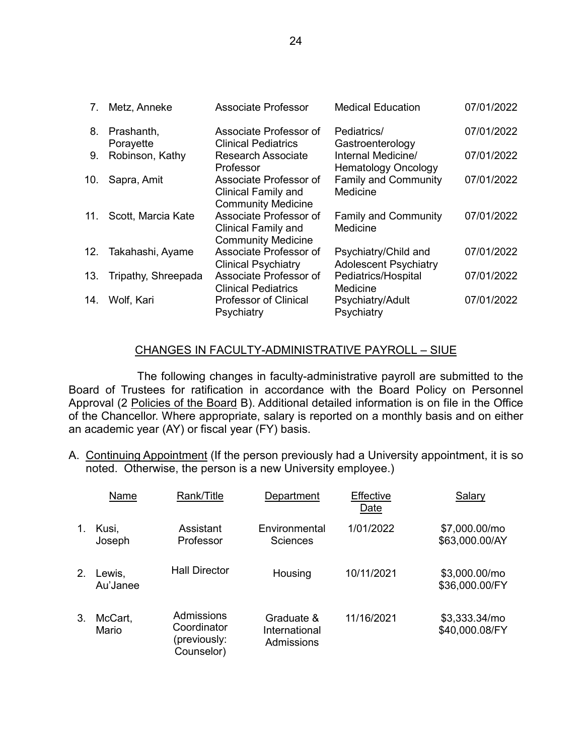| 7.  | Metz, Anneke        | <b>Associate Professor</b>                                                        | <b>Medical Education</b>                             | 07/01/2022 |
|-----|---------------------|-----------------------------------------------------------------------------------|------------------------------------------------------|------------|
| 8.  | Prashanth,          | Associate Professor of                                                            | Pediatrics/                                          | 07/01/2022 |
|     | Porayette           | <b>Clinical Pediatrics</b>                                                        | Gastroenterology                                     |            |
| 9.  | Robinson, Kathy     | <b>Research Associate</b><br>Professor                                            | Internal Medicine/<br><b>Hematology Oncology</b>     | 07/01/2022 |
| 10. | Sapra, Amit         | Associate Professor of<br><b>Clinical Family and</b><br><b>Community Medicine</b> | <b>Family and Community</b><br>Medicine              | 07/01/2022 |
| 11. | Scott, Marcia Kate  | Associate Professor of<br><b>Clinical Family and</b><br><b>Community Medicine</b> | Family and Community<br>Medicine                     | 07/01/2022 |
| 12. | Takahashi, Ayame    | Associate Professor of<br><b>Clinical Psychiatry</b>                              | Psychiatry/Child and<br><b>Adolescent Psychiatry</b> | 07/01/2022 |
| 13. | Tripathy, Shreepada | Associate Professor of<br><b>Clinical Pediatrics</b>                              | Pediatrics/Hospital<br>Medicine                      | 07/01/2022 |
| 14. | Wolf, Kari          | <b>Professor of Clinical</b><br>Psychiatry                                        | Psychiatry/Adult<br>Psychiatry                       | 07/01/2022 |

# CHANGES IN FACULTY-ADMINISTRATIVE PAYROLL – SIUE

The following changes in faculty-administrative payroll are submitted to the Board of Trustees for ratification in accordance with the Board Policy on Personnel Approval (2 Policies of the Board B). Additional detailed information is on file in the Office of the Chancellor. Where appropriate, salary is reported on a monthly basis and on either an academic year (AY) or fiscal year (FY) basis.

A. Continuing Appointment (If the person previously had a University appointment, it is so noted. Otherwise, the person is a new University employee.)

|    | Name               | Rank/Title                                              | Department                                | Effective<br>Date | Salary                          |
|----|--------------------|---------------------------------------------------------|-------------------------------------------|-------------------|---------------------------------|
| 1. | Kusi,<br>Joseph    | Assistant<br>Professor                                  | Environmental<br><b>Sciences</b>          | 1/01/2022         | \$7,000.00/mo<br>\$63,000.00/AY |
| 2. | Lewis,<br>Au'Janee | <b>Hall Director</b>                                    | Housing                                   | 10/11/2021        | \$3,000.00/mo<br>\$36,000.00/FY |
| 3. | McCart,<br>Mario   | Admissions<br>Coordinator<br>(previously:<br>Counselor) | Graduate &<br>International<br>Admissions | 11/16/2021        | \$3,333.34/mo<br>\$40,000.08/FY |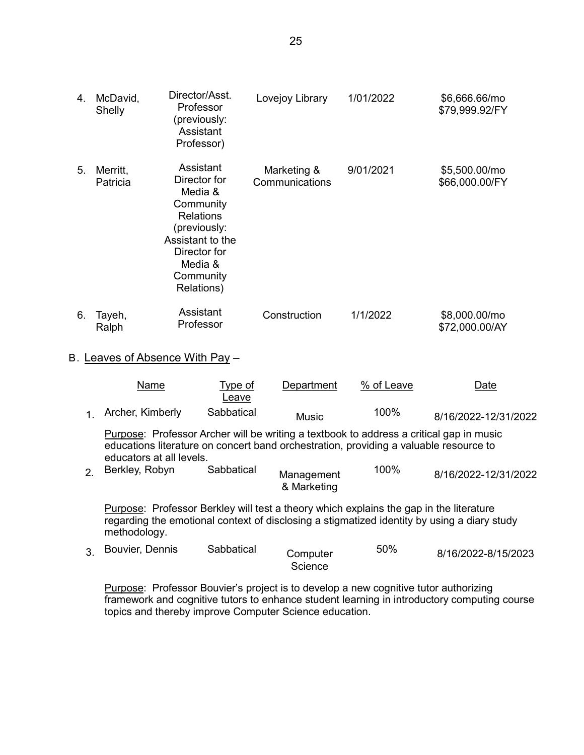| 4. | McDavid,<br>Shelly   | Director/Asst.<br>Professor<br>(previously:<br>Assistant<br>Professor)                                                                                          | Lovejoy Library               | 1/01/2022 | \$6,666.66/mo<br>\$79,999.92/FY |
|----|----------------------|-----------------------------------------------------------------------------------------------------------------------------------------------------------------|-------------------------------|-----------|---------------------------------|
| 5. | Merritt,<br>Patricia | Assistant<br>Director for<br>Media &<br>Community<br><b>Relations</b><br>(previously:<br>Assistant to the<br>Director for<br>Media &<br>Community<br>Relations) | Marketing &<br>Communications | 9/01/2021 | \$5,500.00/mo<br>\$66,000.00/FY |
| 6. | Tayeh,<br>Ralph      | Assistant<br>Professor                                                                                                                                          | Construction                  | 1/1/2022  | \$8,000.00/mo<br>\$72,000.00/AY |

#### B. Leaves of Absence With Pay –

|                                                                                                                                                                                                                                                                                                    | Name               | Type of<br>Leave | Department | % of Leave | Date                 |
|----------------------------------------------------------------------------------------------------------------------------------------------------------------------------------------------------------------------------------------------------------------------------------------------------|--------------------|------------------|------------|------------|----------------------|
|                                                                                                                                                                                                                                                                                                    | 1 Archer, Kimberly | Sabbatical       | Music      | 100%       | 8/16/2022-12/31/2022 |
| Purpose: Professor Archer will be writing a textbook to address a critical gap in music<br>educations literature on concert band orchestration, providing a valuable resource to<br>to all de a contra contra a llega de la contra llega del contra llega del contra llega del contra llega del co |                    |                  |            |            |                      |

educators at all levels.

| Berkley, Robyn | Sabbatical | Management<br>& Marketing | 100% | 8/16/2022-12/31/2022 |
|----------------|------------|---------------------------|------|----------------------|
|                |            |                           |      |                      |

Purpose: Professor Berkley will test a theory which explains the gap in the literature regarding the emotional context of disclosing a stigmatized identity by using a diary study methodology.

| 3. Bouvier, Dennis | Sabbatical | Computer | 50% | 8/16/2022-8/15/2023 |
|--------------------|------------|----------|-----|---------------------|
|                    |            | Science  |     |                     |

Purpose: Professor Bouvier's project is to develop a new cognitive tutor authorizing framework and cognitive tutors to enhance student learning in introductory computing course topics and thereby improve Computer Science education.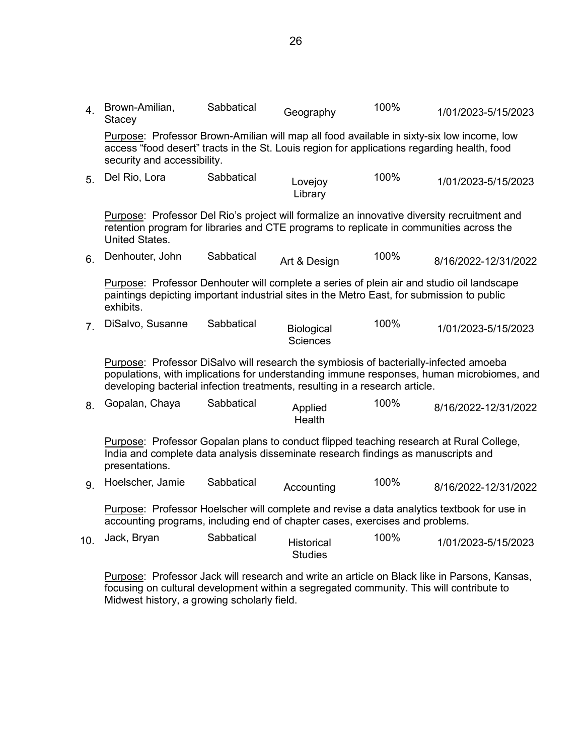| 4.             | Brown-Amilian,<br>Stacey                                                                                                                                                                                                | Sabbatical | Geography                     | 100% | 1/01/2023-5/15/2023                                                                         |  |  |
|----------------|-------------------------------------------------------------------------------------------------------------------------------------------------------------------------------------------------------------------------|------------|-------------------------------|------|---------------------------------------------------------------------------------------------|--|--|
|                | Purpose: Professor Brown-Amilian will map all food available in sixty-six low income, low<br>access "food desert" tracts in the St. Louis region for applications regarding health, food<br>security and accessibility. |            |                               |      |                                                                                             |  |  |
| 5 <sub>1</sub> | Del Rio, Lora                                                                                                                                                                                                           | Sabbatical | Lovejoy<br>Library            | 100% | 1/01/2023-5/15/2023                                                                         |  |  |
|                | retention program for libraries and CTE programs to replicate in communities across the<br><b>United States.</b>                                                                                                        |            |                               |      | Purpose: Professor Del Rio's project will formalize an innovative diversity recruitment and |  |  |
| 6.             | Denhouter, John                                                                                                                                                                                                         | Sabbatical | Art & Design                  | 100% | 8/16/2022-12/31/2022                                                                        |  |  |
|                | Purpose: Professor Denhouter will complete a series of plein air and studio oil landscape<br>paintings depicting important industrial sites in the Metro East, for submission to public<br>exhibits.                    |            |                               |      |                                                                                             |  |  |
| 7 <sub>1</sub> | DiSalvo, Susanne                                                                                                                                                                                                        | Sabbatical | Biological<br><b>Sciences</b> | 100% | 1/01/2023-5/15/2023                                                                         |  |  |
|                | Purpose: Professor DiSalvo will research the symbiosis of bacterially-infected amoeba<br>developing bacterial infection treatments, resulting in a research article.                                                    |            |                               |      | populations, with implications for understanding immune responses, human microbiomes, and   |  |  |
| 8.             | Gopalan, Chaya                                                                                                                                                                                                          | Sabbatical | Applied<br>Health             | 100% | 8/16/2022-12/31/2022                                                                        |  |  |
|                | Purpose: Professor Gopalan plans to conduct flipped teaching research at Rural College,<br>India and complete data analysis disseminate research findings as manuscripts and<br>presentations.                          |            |                               |      |                                                                                             |  |  |
| 9.             | Hoelscher, Jamie                                                                                                                                                                                                        | Sabbatical | Accounting                    | 100% | 8/16/2022-12/31/2022                                                                        |  |  |
|                | Purpose: Professor Hoelscher will complete and revise a data analytics textbook for use in<br>accounting programs, including end of chapter cases, exercises and problems.                                              |            |                               |      |                                                                                             |  |  |
| 10.            | Jack, Bryan                                                                                                                                                                                                             | Sabbatical | Historical<br><b>Studies</b>  | 100% | 1/01/2023-5/15/2023                                                                         |  |  |
|                | Purpose: Professor Jack will research and write an article on Black like in Parsons, Kansas,                                                                                                                            |            |                               |      |                                                                                             |  |  |

focusing on cultural development within a segregated community. This will contribute to Midwest history, a growing scholarly field.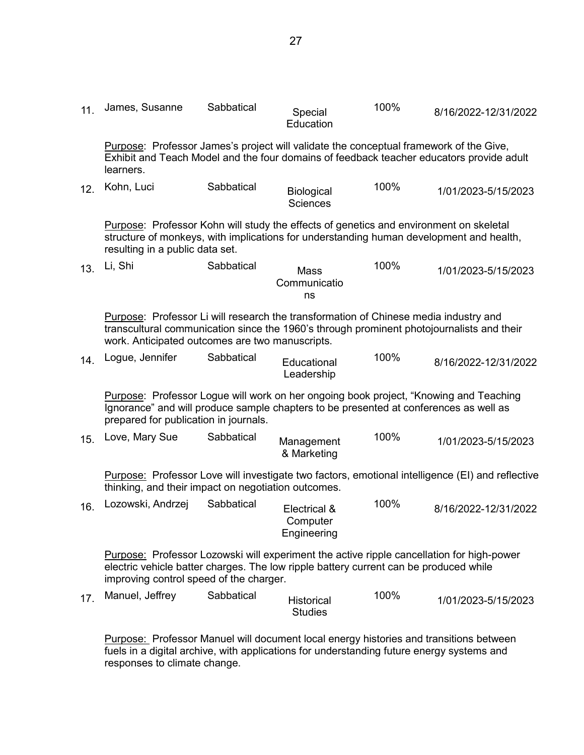| 11. | James, Susanne                                                                                                                                                                                                                       | Sabbatical | Special<br>Education                    | 100% | 8/16/2022-12/31/2022 |  |  |
|-----|--------------------------------------------------------------------------------------------------------------------------------------------------------------------------------------------------------------------------------------|------------|-----------------------------------------|------|----------------------|--|--|
|     | Purpose: Professor James's project will validate the conceptual framework of the Give,<br>Exhibit and Teach Model and the four domains of feedback teacher educators provide adult<br>learners.                                      |            |                                         |      |                      |  |  |
| 12. | Kohn, Luci                                                                                                                                                                                                                           | Sabbatical | Biological<br><b>Sciences</b>           | 100% | 1/01/2023-5/15/2023  |  |  |
|     | Purpose: Professor Kohn will study the effects of genetics and environment on skeletal<br>structure of monkeys, with implications for understanding human development and health,<br>resulting in a public data set.                 |            |                                         |      |                      |  |  |
| 13. | Li, Shi                                                                                                                                                                                                                              | Sabbatical | <b>Mass</b><br>Communicatio<br>ns       | 100% | 1/01/2023-5/15/2023  |  |  |
|     | Purpose: Professor Li will research the transformation of Chinese media industry and<br>transcultural communication since the 1960's through prominent photojournalists and their<br>work. Anticipated outcomes are two manuscripts. |            |                                         |      |                      |  |  |
| 14. | Logue, Jennifer                                                                                                                                                                                                                      | Sabbatical | Educational<br>Leadership               | 100% | 8/16/2022-12/31/2022 |  |  |
|     | Purpose: Professor Logue will work on her ongoing book project, "Knowing and Teaching<br>Ignorance" and will produce sample chapters to be presented at conferences as well as<br>prepared for publication in journals.              |            |                                         |      |                      |  |  |
| 15. | Love, Mary Sue                                                                                                                                                                                                                       | Sabbatical | Management<br>& Marketing               | 100% | 1/01/2023-5/15/2023  |  |  |
|     | <b>Purpose:</b> Professor Love will investigate two factors, emotional intelligence (EI) and reflective<br>thinking, and their impact on negotiation outcomes.                                                                       |            |                                         |      |                      |  |  |
| 16. | Lozowski, Andrzej                                                                                                                                                                                                                    | Sabbatical | Electrical &<br>Computer<br>Engineering | 100% | 8/16/2022-12/31/2022 |  |  |
|     | <b>Purpose:</b> Professor Lozowski will experiment the active ripple cancellation for high-power<br>electric vehicle batter charges. The low ripple battery current can be produced while<br>improving control speed of the charger. |            |                                         |      |                      |  |  |
| 17. | Manuel, Jeffrey                                                                                                                                                                                                                      | Sabbatical | <b>Historical</b><br><b>Studies</b>     | 100% | 1/01/2023-5/15/2023  |  |  |
|     |                                                                                                                                                                                                                                      |            |                                         |      |                      |  |  |

Purpose: Professor Manuel will document local energy histories and transitions between fuels in a digital archive, with applications for understanding future energy systems and responses to climate change.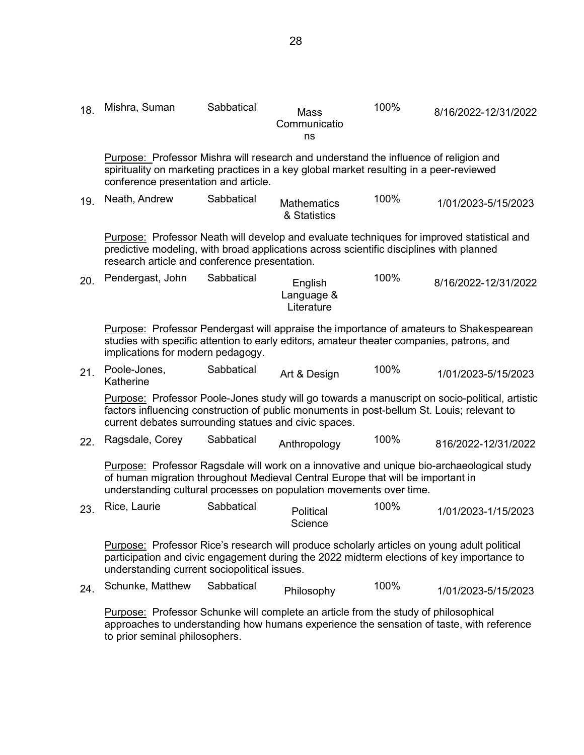| 18. | Mishra, Suman                                                                                                                                                                                                                                       | Sabbatical | Mass<br>Communicatio<br>ns          | 100% | 8/16/2022-12/31/2022                                                                           |  |
|-----|-----------------------------------------------------------------------------------------------------------------------------------------------------------------------------------------------------------------------------------------------------|------------|-------------------------------------|------|------------------------------------------------------------------------------------------------|--|
|     | Purpose: Professor Mishra will research and understand the influence of religion and<br>spirituality on marketing practices in a key global market resulting in a peer-reviewed<br>conference presentation and article.                             |            |                                     |      |                                                                                                |  |
| 19. | Neath, Andrew                                                                                                                                                                                                                                       | Sabbatical | <b>Mathematics</b><br>& Statistics  | 100% | 1/01/2023-5/15/2023                                                                            |  |
|     | predictive modeling, with broad applications across scientific disciplines with planned<br>research article and conference presentation.                                                                                                            |            |                                     |      | Purpose: Professor Neath will develop and evaluate techniques for improved statistical and     |  |
| 20. | Pendergast, John                                                                                                                                                                                                                                    | Sabbatical | English<br>Language &<br>Literature | 100% | 8/16/2022-12/31/2022                                                                           |  |
|     | studies with specific attention to early editors, amateur theater companies, patrons, and<br>implications for modern pedagogy.                                                                                                                      |            |                                     |      | <b>Purpose:</b> Professor Pendergast will appraise the importance of amateurs to Shakespearean |  |
| 21. | Poole-Jones,<br>Katherine                                                                                                                                                                                                                           | Sabbatical | Art & Design                        | 100% | 1/01/2023-5/15/2023                                                                            |  |
|     | factors influencing construction of public monuments in post-bellum St. Louis; relevant to<br>current debates surrounding statues and civic spaces.                                                                                                 |            |                                     |      | Purpose: Professor Poole-Jones study will go towards a manuscript on socio-political, artistic |  |
| 22. | Ragsdale, Corey                                                                                                                                                                                                                                     | Sabbatical | Anthropology                        | 100% | 816/2022-12/31/2022                                                                            |  |
|     | Purpose: Professor Ragsdale will work on a innovative and unique bio-archaeological study<br>of human migration throughout Medieval Central Europe that will be important in<br>understanding cultural processes on population movements over time. |            |                                     |      |                                                                                                |  |
| 23. | Rice, Laurie                                                                                                                                                                                                                                        | Sabbatical | Political<br>Science                | 100% | 1/01/2023-1/15/2023                                                                            |  |
|     | Purpose: Professor Rice's research will produce scholarly articles on young adult political<br>participation and civic engagement during the 2022 midterm elections of key importance to<br>understanding current sociopolitical issues.            |            |                                     |      |                                                                                                |  |
| 24. | Schunke, Matthew                                                                                                                                                                                                                                    | Sabbatical | Philosophy                          | 100% | 1/01/2023-5/15/2023                                                                            |  |
|     | <b>Purpose:</b> Professor Schunke will complete an article from the study of philosophical<br>to prior seminal philosophers.                                                                                                                        |            |                                     |      | approaches to understanding how humans experience the sensation of taste, with reference       |  |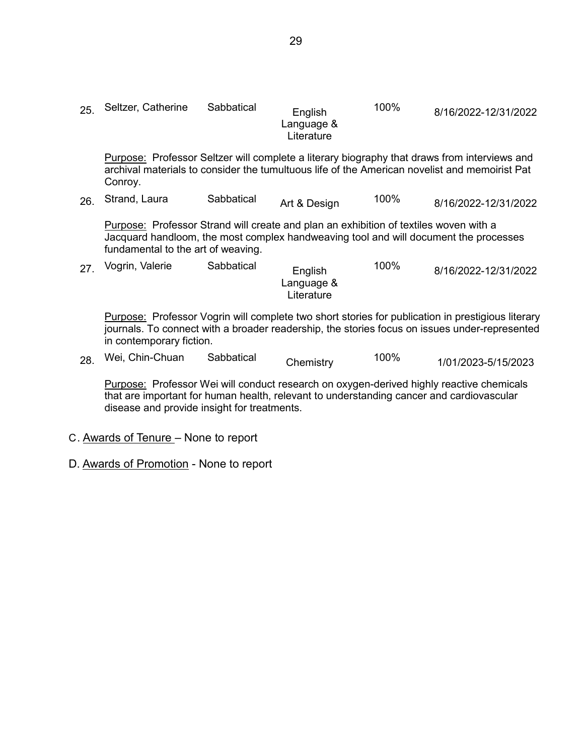| 25. | Seltzer, Catherine                                                                                                                                                                                                  | Sabbatical | English<br>Language &<br>Literature | 100% | 8/16/2022-12/31/2022                                                                                                                                                                          |  |  |
|-----|---------------------------------------------------------------------------------------------------------------------------------------------------------------------------------------------------------------------|------------|-------------------------------------|------|-----------------------------------------------------------------------------------------------------------------------------------------------------------------------------------------------|--|--|
|     | Conroy.                                                                                                                                                                                                             |            |                                     |      | Purpose: Professor Seltzer will complete a literary biography that draws from interviews and<br>archival materials to consider the tumultuous life of the American novelist and memoirist Pat |  |  |
| 26. | Strand, Laura                                                                                                                                                                                                       | Sabbatical | Art & Design                        | 100% | 8/16/2022-12/31/2022                                                                                                                                                                          |  |  |
|     | Purpose: Professor Strand will create and plan an exhibition of textiles woven with a<br>Jacquard handloom, the most complex handweaving tool and will document the processes<br>fundamental to the art of weaving. |            |                                     |      |                                                                                                                                                                                               |  |  |
| 27. | Vogrin, Valerie                                                                                                                                                                                                     | Sabbatical | English<br>Language &               | 100% | 8/16/2022-12/31/2022                                                                                                                                                                          |  |  |

Purpose: Professor Vogrin will complete two short stories for publication in prestigious literary journals. To connect with a broader readership, the stories focus on issues under-represented in contemporary fiction.

| 28. | Wei, Chin-Chuan | Sabbatical | Chemistry | 100% | 1/01/2023-5/15/2023 |
|-----|-----------------|------------|-----------|------|---------------------|
|-----|-----------------|------------|-----------|------|---------------------|

Literature

Purpose: Professor Wei will conduct research on oxygen-derived highly reactive chemicals that are important for human health, relevant to understanding cancer and cardiovascular disease and provide insight for treatments.

- C. Awards of Tenure None to report
- D. Awards of Promotion None to report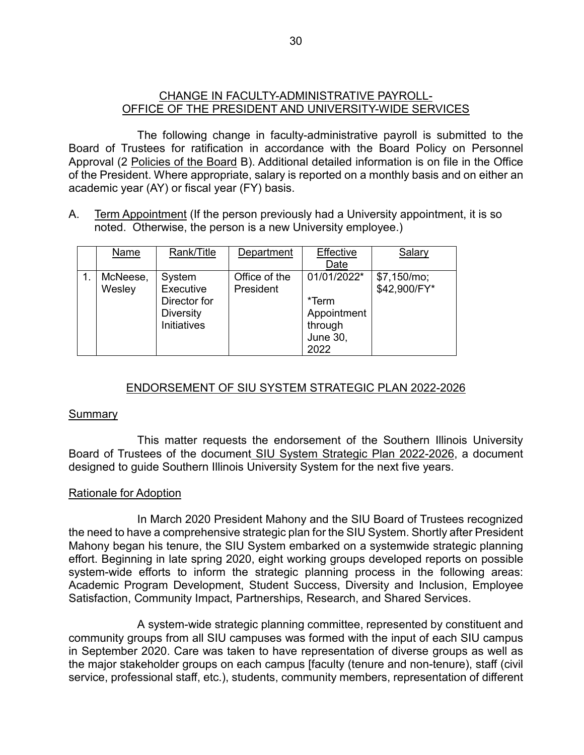# CHANGE IN FACULTY-ADMINISTRATIVE PAYROLL-OFFICE OF THE PRESIDENT AND UNIVERSITY-WIDE SERVICES

The following change in faculty-administrative payroll is submitted to the Board of Trustees for ratification in accordance with the Board Policy on Personnel Approval (2 Policies of the Board B). Additional detailed information is on file in the Office of the President. Where appropriate, salary is reported on a monthly basis and on either an academic year (AY) or fiscal year (FY) basis.

A. Term Appointment (If the person previously had a University appointment, it is so noted. Otherwise, the person is a new University employee.)

| Name     | Rank/Title         | Department    | Effective       | Salary       |
|----------|--------------------|---------------|-----------------|--------------|
|          |                    |               | Date            |              |
| McNeese, | System             | Office of the | 01/01/2022*     | \$7,150/mol; |
| Wesley   | Executive          | President     |                 | \$42,900/FY* |
|          | Director for       |               | *Term           |              |
|          | <b>Diversity</b>   |               | Appointment     |              |
|          | <b>Initiatives</b> |               | through         |              |
|          |                    |               | <b>June 30,</b> |              |
|          |                    |               | 2022            |              |

# ENDORSEMENT OF SIU SYSTEM STRATEGIC PLAN 2022-2026

#### **Summary**

This matter requests the endorsement of the Southern Illinois University Board of Trustees of the document SIU System Strategic Plan 2022-2026, a document designed to guide Southern Illinois University System for the next five years.

# Rationale for Adoption

In March 2020 President Mahony and the SIU Board of Trustees recognized the need to have a comprehensive strategic plan for the SIU System. Shortly after President Mahony began his tenure, the SIU System embarked on a systemwide strategic planning effort. Beginning in late spring 2020, eight working groups developed reports on possible system-wide efforts to inform the strategic planning process in the following areas: Academic Program Development, Student Success, Diversity and Inclusion, Employee Satisfaction, Community Impact, Partnerships, Research, and Shared Services.

A system-wide strategic planning committee, represented by constituent and community groups from all SIU campuses was formed with the input of each SIU campus in September 2020. Care was taken to have representation of diverse groups as well as the major stakeholder groups on each campus [faculty (tenure and non-tenure), staff (civil service, professional staff, etc.), students, community members, representation of different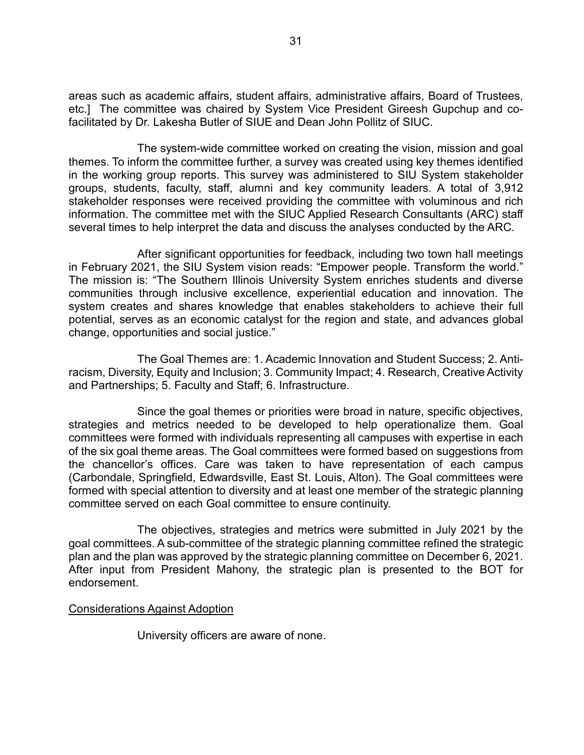areas such as academic affairs, student affairs, administrative affairs, Board of Trustees, etc.] The committee was chaired by System Vice President Gireesh Gupchup and cofacilitated by Dr. Lakesha Butler of SIUE and Dean John Pollitz of SIUC.

The system-wide committee worked on creating the vision, mission and goal themes. To inform the committee further, a survey was created using key themes identified in the working group reports. This survey was administered to SIU System stakeholder groups, students, faculty, staff, alumni and key community leaders. A total of 3,912 stakeholder responses were received providing the committee with voluminous and rich information. The committee met with the SIUC Applied Research Consultants (ARC) staff several times to help interpret the data and discuss the analyses conducted by the ARC.

After significant opportunities for feedback, including two town hall meetings in February 2021, the SIU System vision reads: "Empower people. Transform the world." The mission is: "The Southern Illinois University System enriches students and diverse communities through inclusive excellence, experiential education and innovation. The system creates and shares knowledge that enables stakeholders to achieve their full potential, serves as an economic catalyst for the region and state, and advances global change, opportunities and social justice."

The Goal Themes are: 1. Academic Innovation and Student Success; 2. Antiracism, Diversity, Equity and Inclusion; 3. Community Impact; 4. Research, Creative Activity and Partnerships; 5. Faculty and Staff; 6. Infrastructure.

Since the goal themes or priorities were broad in nature, specific objectives, strategies and metrics needed to be developed to help operationalize them. Goal committees were formed with individuals representing all campuses with expertise in each of the six goal theme areas. The Goal committees were formed based on suggestions from the chancellor's offices. Care was taken to have representation of each campus (Carbondale, Springfield, Edwardsville, East St. Louis, Alton). The Goal committees were formed with special attention to diversity and at least one member of the strategic planning committee served on each Goal committee to ensure continuity.

The objectives, strategies and metrics were submitted in July 2021 by the goal committees. A sub-committee of the strategic planning committee refined the strategic plan and the plan was approved by the strategic planning committee on December 6, 2021. After input from President Mahony, the strategic plan is presented to the BOT for endorsement.

#### Considerations Against Adoption

University officers are aware of none.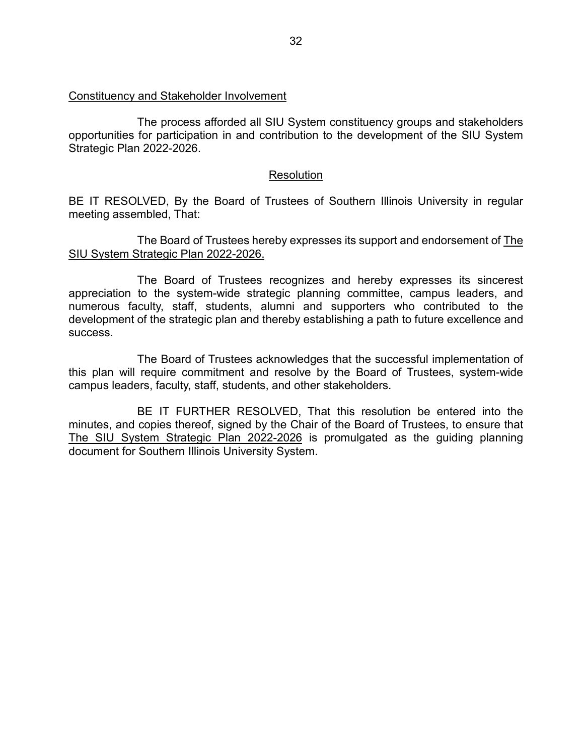#### Constituency and Stakeholder Involvement

The process afforded all SIU System constituency groups and stakeholders opportunities for participation in and contribution to the development of the SIU System Strategic Plan 2022-2026.

#### **Resolution**

BE IT RESOLVED, By the Board of Trustees of Southern Illinois University in regular meeting assembled, That:

The Board of Trustees hereby expresses its support and endorsement of The SIU System Strategic Plan 2022-2026.

The Board of Trustees recognizes and hereby expresses its sincerest appreciation to the system-wide strategic planning committee, campus leaders, and numerous faculty, staff, students, alumni and supporters who contributed to the development of the strategic plan and thereby establishing a path to future excellence and success.

The Board of Trustees acknowledges that the successful implementation of this plan will require commitment and resolve by the Board of Trustees, system-wide campus leaders, faculty, staff, students, and other stakeholders.

BE IT FURTHER RESOLVED, That this resolution be entered into the minutes, and copies thereof, signed by the Chair of the Board of Trustees, to ensure that The SIU System Strategic Plan 2022-2026 is promulgated as the guiding planning document for Southern Illinois University System.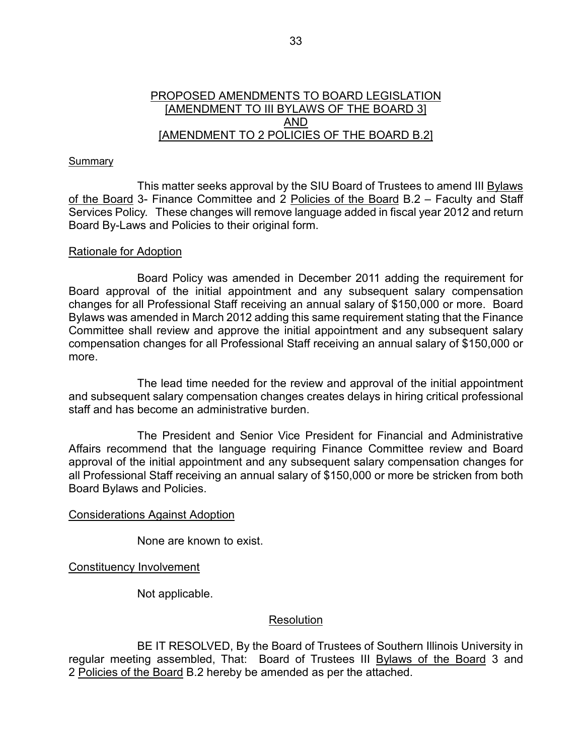# PROPOSED AMENDMENTS TO BOARD LEGISLATION [AMENDMENT TO III BYLAWS OF THE BOARD 3] AND [AMENDMENT TO 2 POLICIES OF THE BOARD B.2]

#### Summary

This matter seeks approval by the SIU Board of Trustees to amend III Bylaws of the Board 3- Finance Committee and 2 Policies of the Board B.2 - Faculty and Staff Services Policy. These changes will remove language added in fiscal year 2012 and return Board By-Laws and Policies to their original form.

#### Rationale for Adoption

Board Policy was amended in December 2011 adding the requirement for Board approval of the initial appointment and any subsequent salary compensation changes for all Professional Staff receiving an annual salary of \$150,000 or more. Board Bylaws was amended in March 2012 adding this same requirement stating that the Finance Committee shall review and approve the initial appointment and any subsequent salary compensation changes for all Professional Staff receiving an annual salary of \$150,000 or more.

The lead time needed for the review and approval of the initial appointment and subsequent salary compensation changes creates delays in hiring critical professional staff and has become an administrative burden.

The President and Senior Vice President for Financial and Administrative Affairs recommend that the language requiring Finance Committee review and Board approval of the initial appointment and any subsequent salary compensation changes for all Professional Staff receiving an annual salary of \$150,000 or more be stricken from both Board Bylaws and Policies.

#### Considerations Against Adoption

None are known to exist.

Constituency Involvement

Not applicable.

#### **Resolution**

BE IT RESOLVED, By the Board of Trustees of Southern Illinois University in regular meeting assembled, That: Board of Trustees III Bylaws of the Board 3 and 2 Policies of the Board B.2 hereby be amended as per the attached.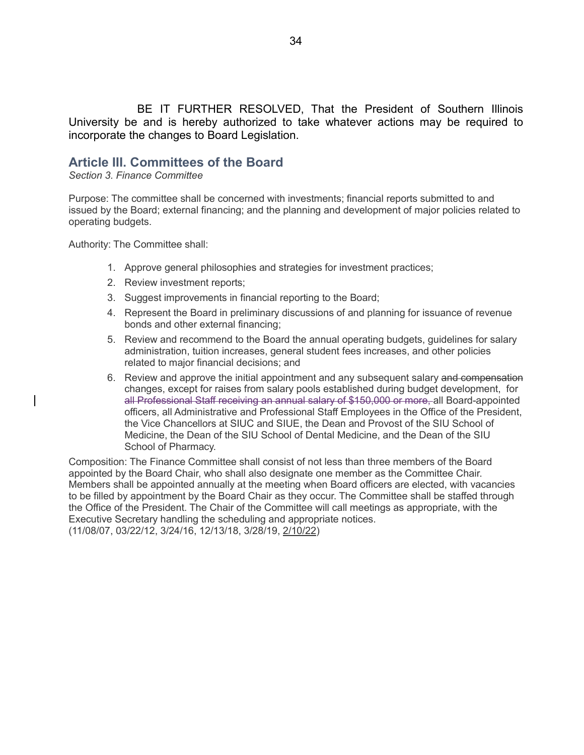BE IT FURTHER RESOLVED, That the President of Southern Illinois University be and is hereby authorized to take whatever actions may be required to incorporate the changes to Board Legislation.

# **Article III. Committees of the Board**

*Section 3. Finance Committee*

Purpose: The committee shall be concerned with investments; financial reports submitted to and issued by the Board; external financing; and the planning and development of major policies related to operating budgets.

Authority: The Committee shall:

- 1. Approve general philosophies and strategies for investment practices;
- 2. Review investment reports;
- 3. Suggest improvements in financial reporting to the Board;
- 4. Represent the Board in preliminary discussions of and planning for issuance of revenue bonds and other external financing;
- 5. Review and recommend to the Board the annual operating budgets, guidelines for salary administration, tuition increases, general student fees increases, and other policies related to major financial decisions; and
- 6. Review and approve the initial appointment and any subsequent salary and compensation changes, except for raises from salary pools established during budget development, for all Professional Staff receiving an annual salary of \$150,000 or more, all Board-appointed officers, all Administrative and Professional Staff Employees in the Office of the President, the Vice Chancellors at SIUC and SIUE, the Dean and Provost of the SIU School of Medicine, the Dean of the SIU School of Dental Medicine, and the Dean of the SIU School of Pharmacy.

Composition: The Finance Committee shall consist of not less than three members of the Board appointed by the Board Chair, who shall also designate one member as the Committee Chair. Members shall be appointed annually at the meeting when Board officers are elected, with vacancies to be filled by appointment by the Board Chair as they occur. The Committee shall be staffed through the Office of the President. The Chair of the Committee will call meetings as appropriate, with the Executive Secretary handling the scheduling and appropriate notices. (11/08/07, 03/22/12, 3/24/16, 12/13/18, 3/28/19, 2/10/22)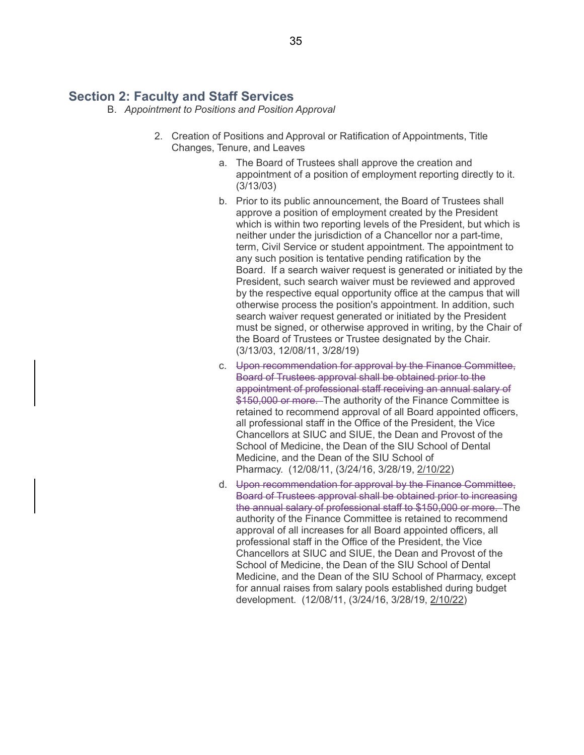# **Section 2: Faculty and Staff Services**

- B. *Appointment to Positions and Position Approval*
	- 2. Creation of Positions and Approval or Ratification of Appointments, Title Changes, Tenure, and Leaves
		- a. The Board of Trustees shall approve the creation and appointment of a position of employment reporting directly to it. (3/13/03)
		- b. Prior to its public announcement, the Board of Trustees shall approve a position of employment created by the President which is within two reporting levels of the President, but which is neither under the jurisdiction of a Chancellor nor a part-time, term, Civil Service or student appointment. The appointment to any such position is tentative pending ratification by the Board. If a search waiver request is generated or initiated by the President, such search waiver must be reviewed and approved by the respective equal opportunity office at the campus that will otherwise process the position's appointment. In addition, such search waiver request generated or initiated by the President must be signed, or otherwise approved in writing, by the Chair of the Board of Trustees or Trustee designated by the Chair. (3/13/03, 12/08/11, 3/28/19)
		- c. Upon recommendation for approval by the Finance Committee, Board of Trustees approval shall be obtained prior to the appointment of professional staff receiving an annual salary of \$150,000 or more. The authority of the Finance Committee is retained to recommend approval of all Board appointed officers, all professional staff in the Office of the President, the Vice Chancellors at SIUC and SIUE, the Dean and Provost of the School of Medicine, the Dean of the SIU School of Dental Medicine, and the Dean of the SIU School of Pharmacy. (12/08/11, (3/24/16, 3/28/19, 2/10/22)
		- d. Upon recommendation for approval by the Finance Committee, Board of Trustees approval shall be obtained prior to increasing the annual salary of professional staff to \$150,000 or more. The authority of the Finance Committee is retained to recommend approval of all increases for all Board appointed officers, all professional staff in the Office of the President, the Vice Chancellors at SIUC and SIUE, the Dean and Provost of the School of Medicine, the Dean of the SIU School of Dental Medicine, and the Dean of the SIU School of Pharmacy, except for annual raises from salary pools established during budget development. (12/08/11, (3/24/16, 3/28/19, 2/10/22)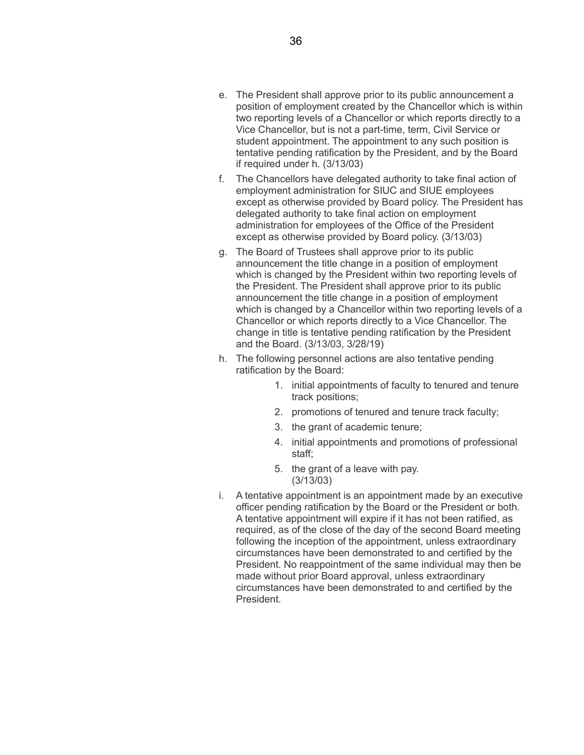- e. The President shall approve prior to its public announcement a position of employment created by the Chancellor which is within two reporting levels of a Chancellor or which reports directly to a Vice Chancellor, but is not a part-time, term, Civil Service or student appointment. The appointment to any such position is tentative pending ratification by the President, and by the Board if required under h. (3/13/03)
- f. The Chancellors have delegated authority to take final action of employment administration for SIUC and SIUE employees except as otherwise provided by Board policy. The President has delegated authority to take final action on employment administration for employees of the Office of the President except as otherwise provided by Board policy. (3/13/03)
- g. The Board of Trustees shall approve prior to its public announcement the title change in a position of employment which is changed by the President within two reporting levels of the President. The President shall approve prior to its public announcement the title change in a position of employment which is changed by a Chancellor within two reporting levels of a Chancellor or which reports directly to a Vice Chancellor. The change in title is tentative pending ratification by the President and the Board. (3/13/03, 3/28/19)
- h. The following personnel actions are also tentative pending ratification by the Board:
	- 1. initial appointments of faculty to tenured and tenure track positions;
	- 2. promotions of tenured and tenure track faculty;
	- 3. the grant of academic tenure;
	- 4. initial appointments and promotions of professional staff;
	- 5. the grant of a leave with pay. (3/13/03)
- i. A tentative appointment is an appointment made by an executive officer pending ratification by the Board or the President or both. A tentative appointment will expire if it has not been ratified, as required, as of the close of the day of the second Board meeting following the inception of the appointment, unless extraordinary circumstances have been demonstrated to and certified by the President. No reappointment of the same individual may then be made without prior Board approval, unless extraordinary circumstances have been demonstrated to and certified by the President.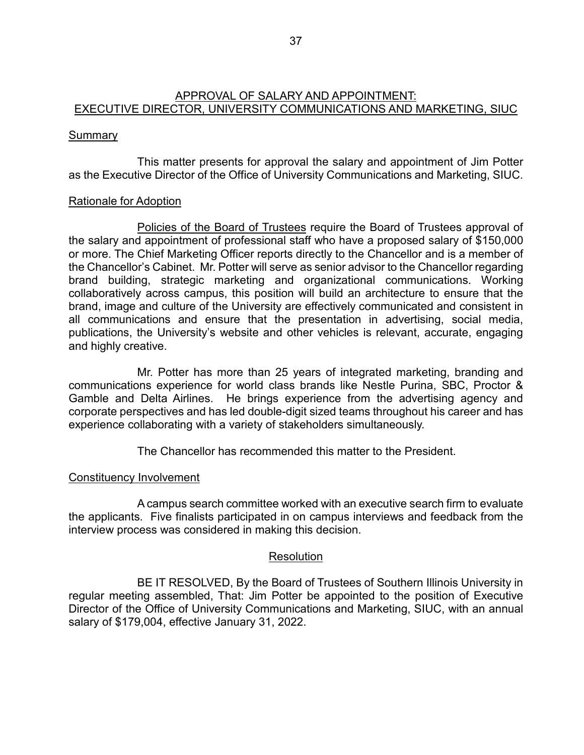# APPROVAL OF SALARY AND APPOINTMENT: EXECUTIVE DIRECTOR, UNIVERSITY COMMUNICATIONS AND MARKETING, SIUC

# **Summary**

This matter presents for approval the salary and appointment of Jim Potter as the Executive Director of the Office of University Communications and Marketing, SIUC.

# Rationale for Adoption

Policies of the Board of Trustees require the Board of Trustees approval of the salary and appointment of professional staff who have a proposed salary of \$150,000 or more. The Chief Marketing Officer reports directly to the Chancellor and is a member of the Chancellor's Cabinet. Mr. Potter will serve as senior advisor to the Chancellor regarding brand building, strategic marketing and organizational communications. Working collaboratively across campus, this position will build an architecture to ensure that the brand, image and culture of the University are effectively communicated and consistent in all communications and ensure that the presentation in advertising, social media, publications, the University's website and other vehicles is relevant, accurate, engaging and highly creative.

Mr. Potter has more than 25 years of integrated marketing, branding and communications experience for world class brands like Nestle Purina, SBC, Proctor & Gamble and Delta Airlines. He brings experience from the advertising agency and corporate perspectives and has led double-digit sized teams throughout his career and has experience collaborating with a variety of stakeholders simultaneously.

The Chancellor has recommended this matter to the President.

# Constituency Involvement

A campus search committee worked with an executive search firm to evaluate the applicants. Five finalists participated in on campus interviews and feedback from the interview process was considered in making this decision.

#### Resolution

BE IT RESOLVED, By the Board of Trustees of Southern Illinois University in regular meeting assembled, That: Jim Potter be appointed to the position of Executive Director of the Office of University Communications and Marketing, SIUC, with an annual salary of \$179,004, effective January 31, 2022.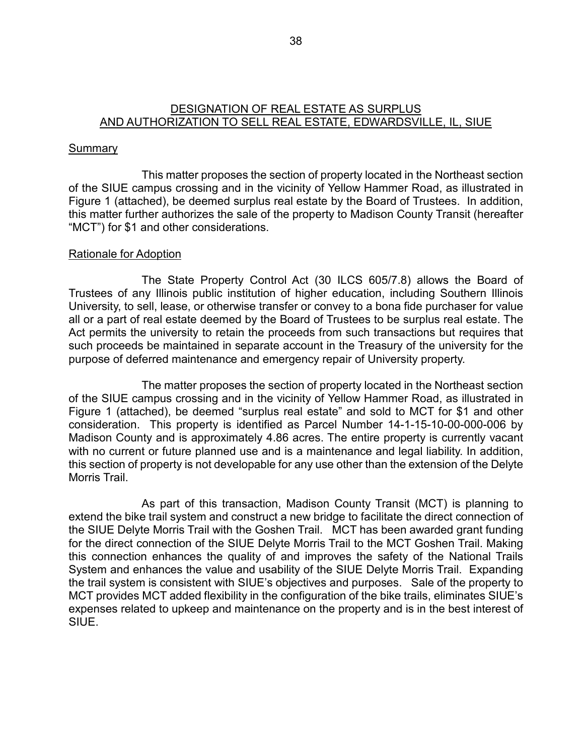# DESIGNATION OF REAL ESTATE AS SURPLUS AND AUTHORIZATION TO SELL REAL ESTATE, EDWARDSVILLE, IL, SIUE

# **Summary**

This matter proposes the section of property located in the Northeast section of the SIUE campus crossing and in the vicinity of Yellow Hammer Road, as illustrated in Figure 1 (attached), be deemed surplus real estate by the Board of Trustees. In addition, this matter further authorizes the sale of the property to Madison County Transit (hereafter "MCT") for \$1 and other considerations.

#### Rationale for Adoption

The State Property Control Act (30 ILCS 605/7.8) allows the Board of Trustees of any Illinois public institution of higher education, including Southern Illinois University, to sell, lease, or otherwise transfer or convey to a bona fide purchaser for value all or a part of real estate deemed by the Board of Trustees to be surplus real estate. The Act permits the university to retain the proceeds from such transactions but requires that such proceeds be maintained in separate account in the Treasury of the university for the purpose of deferred maintenance and emergency repair of University property.

The matter proposes the section of property located in the Northeast section of the SIUE campus crossing and in the vicinity of Yellow Hammer Road, as illustrated in Figure 1 (attached), be deemed "surplus real estate" and sold to MCT for \$1 and other consideration. This property is identified as Parcel Number 14-1-15-10-00-000-006 by Madison County and is approximately 4.86 acres. The entire property is currently vacant with no current or future planned use and is a maintenance and legal liability. In addition, this section of property is not developable for any use other than the extension of the Delyte Morris Trail.

As part of this transaction, Madison County Transit (MCT) is planning to extend the bike trail system and construct a new bridge to facilitate the direct connection of the SIUE Delyte Morris Trail with the Goshen Trail. MCT has been awarded grant funding for the direct connection of the SIUE Delyte Morris Trail to the MCT Goshen Trail. Making this connection enhances the quality of and improves the safety of the National Trails System and enhances the value and usability of the SIUE Delyte Morris Trail. Expanding the trail system is consistent with SIUE's objectives and purposes. Sale of the property to MCT provides MCT added flexibility in the configuration of the bike trails, eliminates SIUE's expenses related to upkeep and maintenance on the property and is in the best interest of SIUE.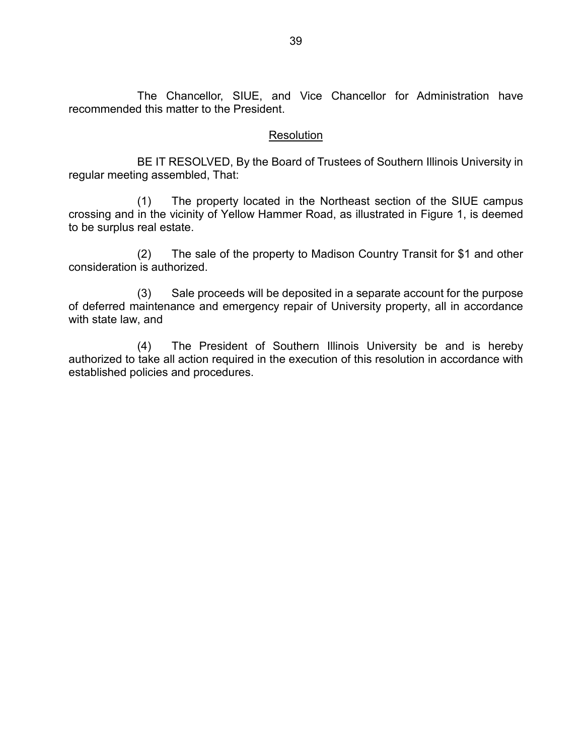The Chancellor, SIUE, and Vice Chancellor for Administration have recommended this matter to the President.

# **Resolution**

BE IT RESOLVED, By the Board of Trustees of Southern Illinois University in regular meeting assembled, That:

(1) The property located in the Northeast section of the SIUE campus crossing and in the vicinity of Yellow Hammer Road, as illustrated in Figure 1, is deemed to be surplus real estate.

(2) The sale of the property to Madison Country Transit for \$1 and other consideration is authorized.

(3) Sale proceeds will be deposited in a separate account for the purpose of deferred maintenance and emergency repair of University property, all in accordance with state law, and

(4) The President of Southern Illinois University be and is hereby authorized to take all action required in the execution of this resolution in accordance with established policies and procedures.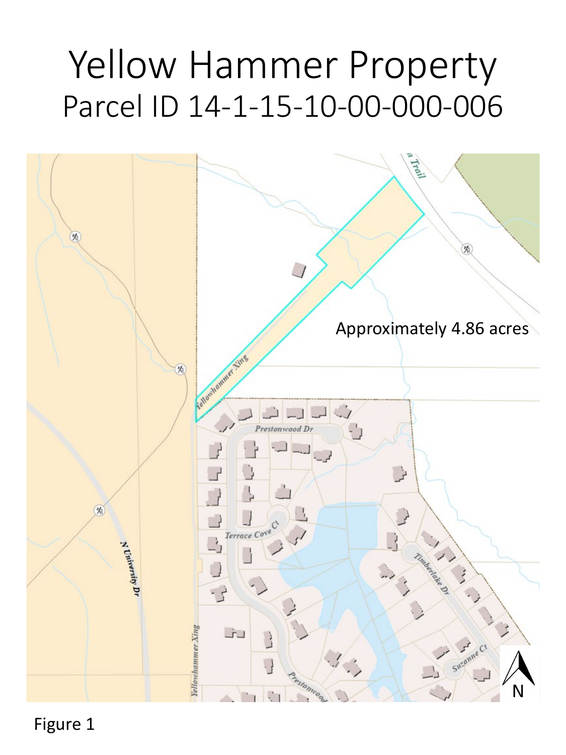# Yellow Hammer Property Parcel ID 14-1-15-10-00-000-006



Figure 1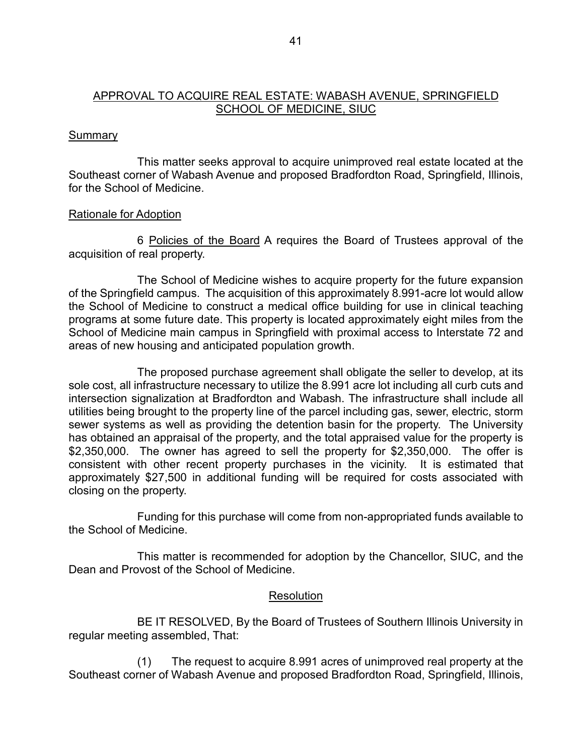# APPROVAL TO ACQUIRE REAL ESTATE: WABASH AVENUE, SPRINGFIELD SCHOOL OF MEDICINE, SIUC

# **Summary**

This matter seeks approval to acquire unimproved real estate located at the Southeast corner of Wabash Avenue and proposed Bradfordton Road, Springfield, Illinois, for the School of Medicine.

# Rationale for Adoption

6 Policies of the Board A requires the Board of Trustees approval of the acquisition of real property.

The School of Medicine wishes to acquire property for the future expansion of the Springfield campus. The acquisition of this approximately 8.991-acre lot would allow the School of Medicine to construct a medical office building for use in clinical teaching programs at some future date. This property is located approximately eight miles from the School of Medicine main campus in Springfield with proximal access to Interstate 72 and areas of new housing and anticipated population growth.

The proposed purchase agreement shall obligate the seller to develop, at its sole cost, all infrastructure necessary to utilize the 8.991 acre lot including all curb cuts and intersection signalization at Bradfordton and Wabash. The infrastructure shall include all utilities being brought to the property line of the parcel including gas, sewer, electric, storm sewer systems as well as providing the detention basin for the property. The University has obtained an appraisal of the property, and the total appraised value for the property is \$2,350,000. The owner has agreed to sell the property for \$2,350,000. The offer is consistent with other recent property purchases in the vicinity. It is estimated that approximately \$27,500 in additional funding will be required for costs associated with closing on the property.

Funding for this purchase will come from non-appropriated funds available to the School of Medicine.

This matter is recommended for adoption by the Chancellor, SIUC, and the Dean and Provost of the School of Medicine.

#### Resolution

BE IT RESOLVED, By the Board of Trustees of Southern Illinois University in regular meeting assembled, That:

(1) The request to acquire 8.991 acres of unimproved real property at the Southeast corner of Wabash Avenue and proposed Bradfordton Road, Springfield, Illinois,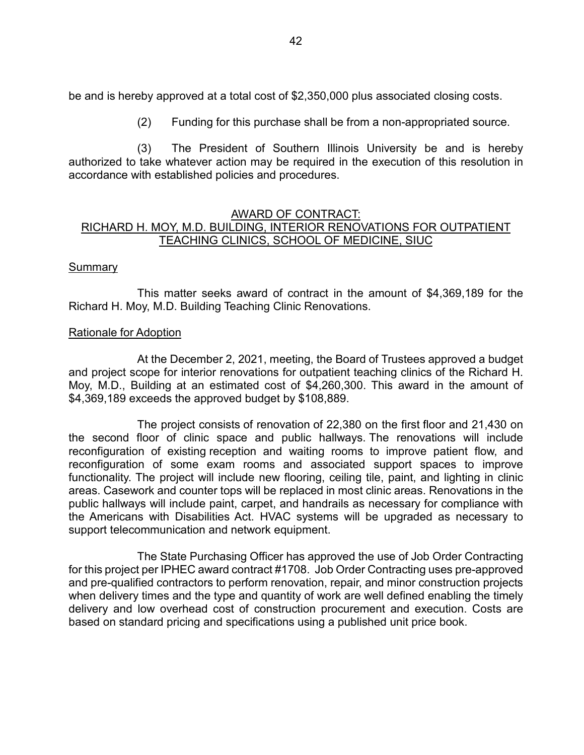be and is hereby approved at a total cost of \$2,350,000 plus associated closing costs.

(2) Funding for this purchase shall be from a non-appropriated source.

(3) The President of Southern Illinois University be and is hereby authorized to take whatever action may be required in the execution of this resolution in accordance with established policies and procedures.

# AWARD OF CONTRACT: RICHARD H. MOY, M.D. BUILDING, INTERIOR RENOVATIONS FOR OUTPATIENT TEACHING CLINICS, SCHOOL OF MEDICINE, SIUC

# **Summary**

This matter seeks award of contract in the amount of \$4,369,189 for the Richard H. Moy, M.D. Building Teaching Clinic Renovations.

#### Rationale for Adoption

At the December 2, 2021, meeting, the Board of Trustees approved a budget and project scope for interior renovations for outpatient teaching clinics of the Richard H. Moy, M.D., Building at an estimated cost of \$4,260,300. This award in the amount of \$4,369,189 exceeds the approved budget by \$108,889.

The project consists of renovation of 22,380 on the first floor and 21,430 on the second floor of clinic space and public hallways. The renovations will include reconfiguration of existing reception and waiting rooms to improve patient flow, and reconfiguration of some exam rooms and associated support spaces to improve functionality. The project will include new flooring, ceiling tile, paint, and lighting in clinic areas. Casework and counter tops will be replaced in most clinic areas. Renovations in the public hallways will include paint, carpet, and handrails as necessary for compliance with the Americans with Disabilities Act. HVAC systems will be upgraded as necessary to support telecommunication and network equipment.

The State Purchasing Officer has approved the use of Job Order Contracting for this project per IPHEC award contract #1708. Job Order Contracting uses pre-approved and pre-qualified contractors to perform renovation, repair, and minor construction projects when delivery times and the type and quantity of work are well defined enabling the timely delivery and low overhead cost of construction procurement and execution. Costs are based on standard pricing and specifications using a published unit price book.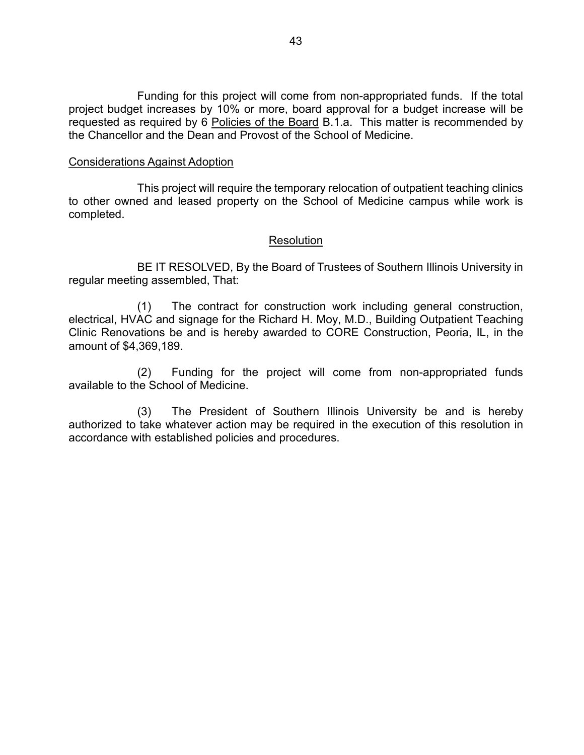Funding for this project will come from non-appropriated funds. If the total project budget increases by 10% or more, board approval for a budget increase will be requested as required by 6 Policies of the Board B.1.a. This matter is recommended by the Chancellor and the Dean and Provost of the School of Medicine.

#### Considerations Against Adoption

This project will require the temporary relocation of outpatient teaching clinics to other owned and leased property on the School of Medicine campus while work is completed.

#### **Resolution**

BE IT RESOLVED, By the Board of Trustees of Southern Illinois University in regular meeting assembled, That:

(1) The contract for construction work including general construction, electrical, HVAC and signage for the Richard H. Moy, M.D., Building Outpatient Teaching Clinic Renovations be and is hereby awarded to CORE Construction, Peoria, IL, in the amount of \$4,369,189.

(2) Funding for the project will come from non-appropriated funds available to the School of Medicine.

(3) The President of Southern Illinois University be and is hereby authorized to take whatever action may be required in the execution of this resolution in accordance with established policies and procedures.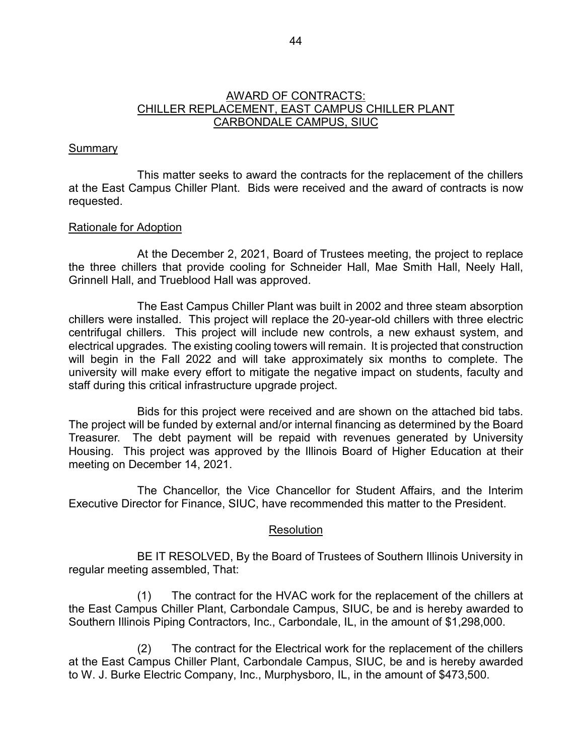## AWARD OF CONTRACTS: CHILLER REPLACEMENT, EAST CAMPUS CHILLER PLANT CARBONDALE CAMPUS, SIUC

# **Summary**

This matter seeks to award the contracts for the replacement of the chillers at the East Campus Chiller Plant. Bids were received and the award of contracts is now requested.

# Rationale for Adoption

At the December 2, 2021, Board of Trustees meeting, the project to replace the three chillers that provide cooling for Schneider Hall, Mae Smith Hall, Neely Hall, Grinnell Hall, and Trueblood Hall was approved.

The East Campus Chiller Plant was built in 2002 and three steam absorption chillers were installed. This project will replace the 20-year-old chillers with three electric centrifugal chillers. This project will include new controls, a new exhaust system, and electrical upgrades. The existing cooling towers will remain. It is projected that construction will begin in the Fall 2022 and will take approximately six months to complete. The university will make every effort to mitigate the negative impact on students, faculty and staff during this critical infrastructure upgrade project.

Bids for this project were received and are shown on the attached bid tabs. The project will be funded by external and/or internal financing as determined by the Board Treasurer. The debt payment will be repaid with revenues generated by University Housing. This project was approved by the Illinois Board of Higher Education at their meeting on December 14, 2021.

The Chancellor, the Vice Chancellor for Student Affairs, and the Interim Executive Director for Finance, SIUC, have recommended this matter to the President.

# **Resolution**

BE IT RESOLVED, By the Board of Trustees of Southern Illinois University in regular meeting assembled, That:

(1) The contract for the HVAC work for the replacement of the chillers at the East Campus Chiller Plant, Carbondale Campus, SIUC, be and is hereby awarded to Southern Illinois Piping Contractors, Inc., Carbondale, IL, in the amount of \$1,298,000.

(2) The contract for the Electrical work for the replacement of the chillers at the East Campus Chiller Plant, Carbondale Campus, SIUC, be and is hereby awarded to W. J. Burke Electric Company, Inc., Murphysboro, IL, in the amount of \$473,500.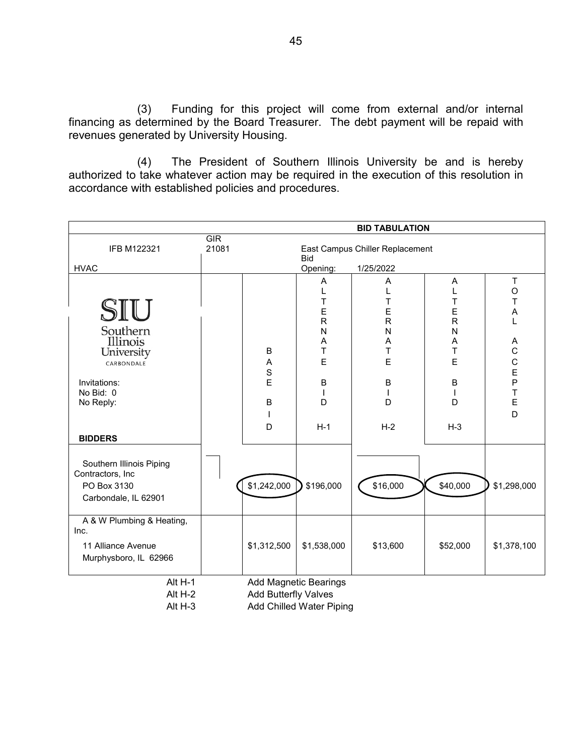(3) Funding for this project will come from external and/or internal financing as determined by the Board Treasurer. The debt payment will be repaid with revenues generated by University Housing.

(4) The President of Southern Illinois University be and is hereby authorized to take whatever action may be required in the execution of this resolution in accordance with established policies and procedures.

|                                                                                                                     |              |                            |                                                                                                       | <b>BID TABULATION</b>                                                                |                                                                                             |                                                                   |
|---------------------------------------------------------------------------------------------------------------------|--------------|----------------------------|-------------------------------------------------------------------------------------------------------|--------------------------------------------------------------------------------------|---------------------------------------------------------------------------------------------|-------------------------------------------------------------------|
| IFB M122321<br><b>HVAC</b>                                                                                          | GIR<br>21081 |                            | <b>Bid</b><br>Opening:                                                                                | East Campus Chiller Replacement<br>1/25/2022                                         |                                                                                             |                                                                   |
| SIU<br>Southern<br>Illinois<br>University<br>CARBONDALE<br>Invitations:<br>No Bid: 0<br>No Reply:<br><b>BIDDERS</b> |              | B<br>Α<br>S<br>E<br>B<br>D | Α<br>T<br>E<br>$\overline{\mathsf{R}}$<br>N<br>Α<br>T<br>E<br>$\sf B$<br>$\overline{1}$<br>D<br>$H-1$ | Α<br>T<br>E<br>$\mathsf{R}$<br>N<br>A<br>T<br>E<br>B<br>$\overline{1}$<br>D<br>$H-2$ | Α<br>Т<br>E<br>$\mathsf R$<br>N<br>Α<br>T<br>E<br>$\mathsf B$<br>$\mathbf{I}$<br>D<br>$H-3$ | $\sf T$<br>$\circ$<br>T<br>A<br>A<br>CCEPT<br>$\overline{E}$<br>D |
| Southern Illinois Piping<br>Contractors, Inc<br>PO Box 3130<br>Carbondale, IL 62901                                 |              | \$1,242,000                | \$196,000                                                                                             | \$16,000                                                                             | \$40,000                                                                                    | \$1,298,000                                                       |
| A & W Plumbing & Heating,<br>Inc.<br>11 Alliance Avenue<br>Murphysboro, IL 62966                                    |              | \$1,312,500                | \$1,538,000                                                                                           | \$13,600                                                                             | \$52,000                                                                                    | \$1,378,100                                                       |
| Alt H-1<br>Alt H-2<br>Alt H-3                                                                                       |              | Add Butterfly Valves       | <b>Add Magnetic Bearings</b><br><b>Add Chilled Water Piping</b>                                       |                                                                                      |                                                                                             |                                                                   |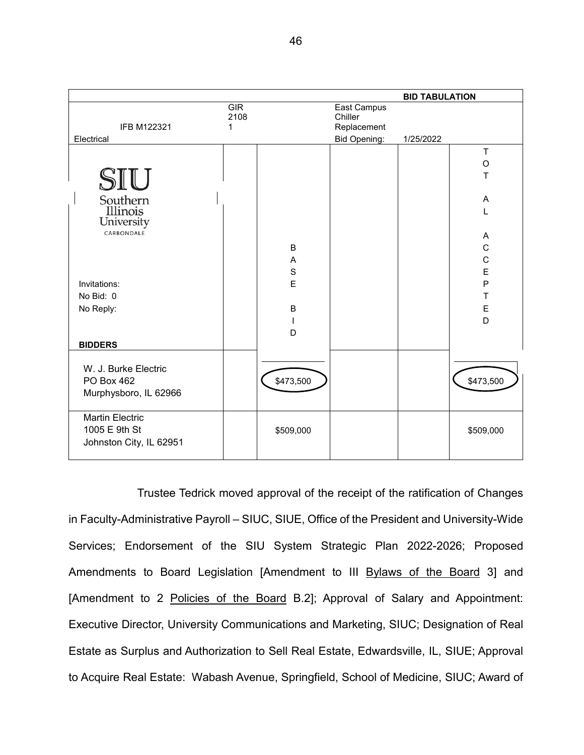

Trustee Tedrick moved approval of the receipt of the ratification of Changes in Faculty-Administrative Payroll – SIUC, SIUE, Office of the President and University-Wide Services; Endorsement of the SIU System Strategic Plan 2022-2026; Proposed Amendments to Board Legislation [Amendment to III Bylaws of the Board 3] and [Amendment to 2 Policies of the Board B.2]; Approval of Salary and Appointment: Executive Director, University Communications and Marketing, SIUC; Designation of Real Estate as Surplus and Authorization to Sell Real Estate, Edwardsville, IL, SIUE; Approval to Acquire Real Estate: Wabash Avenue, Springfield, School of Medicine, SIUC; Award of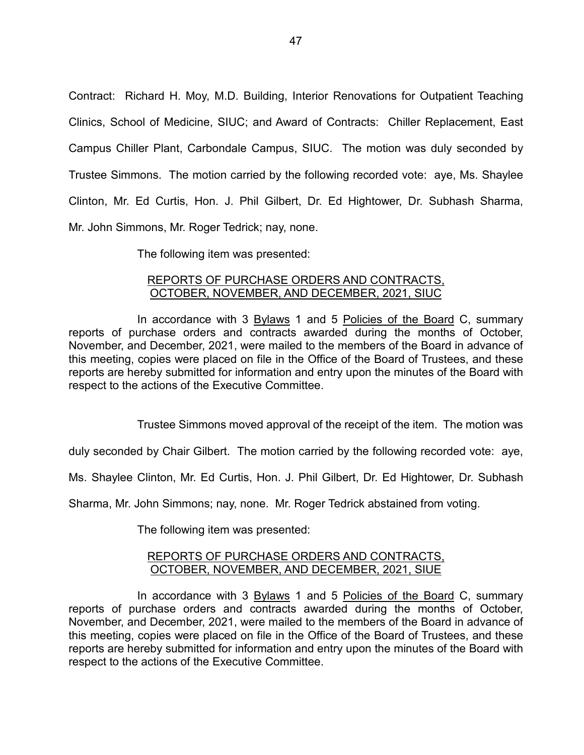Contract: Richard H. Moy, M.D. Building, Interior Renovations for Outpatient Teaching Clinics, School of Medicine, SIUC; and Award of Contracts: Chiller Replacement, East Campus Chiller Plant, Carbondale Campus, SIUC. The motion was duly seconded by Trustee Simmons. The motion carried by the following recorded vote: aye, Ms. Shaylee Clinton, Mr. Ed Curtis, Hon. J. Phil Gilbert, Dr. Ed Hightower, Dr. Subhash Sharma, Mr. John Simmons, Mr. Roger Tedrick; nay, none.

The following item was presented:

# REPORTS OF PURCHASE ORDERS AND CONTRACTS, OCTOBER, NOVEMBER, AND DECEMBER, 2021, SIUC

In accordance with 3 Bylaws 1 and 5 Policies of the Board C, summary reports of purchase orders and contracts awarded during the months of October, November, and December, 2021, were mailed to the members of the Board in advance of this meeting, copies were placed on file in the Office of the Board of Trustees, and these reports are hereby submitted for information and entry upon the minutes of the Board with respect to the actions of the Executive Committee.

Trustee Simmons moved approval of the receipt of the item. The motion was

duly seconded by Chair Gilbert. The motion carried by the following recorded vote: aye,

Ms. Shaylee Clinton, Mr. Ed Curtis, Hon. J. Phil Gilbert, Dr. Ed Hightower, Dr. Subhash

Sharma, Mr. John Simmons; nay, none. Mr. Roger Tedrick abstained from voting.

The following item was presented:

#### REPORTS OF PURCHASE ORDERS AND CONTRACTS, OCTOBER, NOVEMBER, AND DECEMBER, 2021, SIUE

In accordance with 3 Bylaws 1 and 5 Policies of the Board C, summary reports of purchase orders and contracts awarded during the months of October, November, and December, 2021, were mailed to the members of the Board in advance of this meeting, copies were placed on file in the Office of the Board of Trustees, and these reports are hereby submitted for information and entry upon the minutes of the Board with respect to the actions of the Executive Committee.